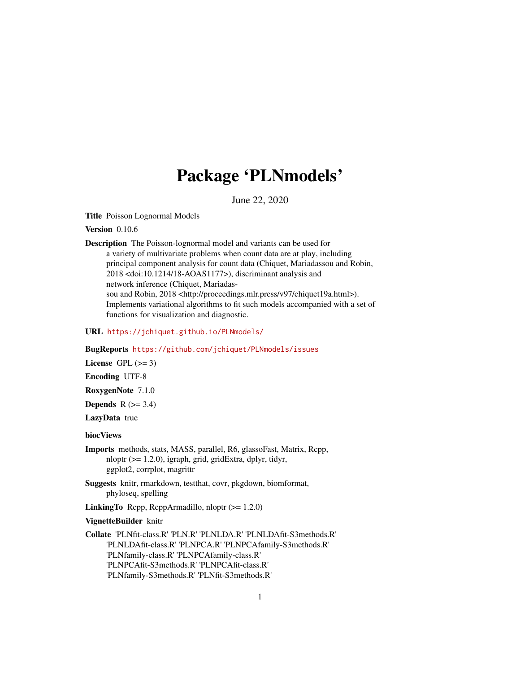## Package 'PLNmodels'

June 22, 2020

<span id="page-0-0"></span>Title Poisson Lognormal Models

Version 0.10.6

Description The Poisson-lognormal model and variants can be used for a variety of multivariate problems when count data are at play, including principal component analysis for count data (Chiquet, Mariadassou and Robin, 2018 <doi:10.1214/18-AOAS1177>), discriminant analysis and network inference (Chiquet, Mariadassou and Robin, 2018 <http://proceedings.mlr.press/v97/chiquet19a.html>). Implements variational algorithms to fit such models accompanied with a set of functions for visualization and diagnostic.

URL <https://jchiquet.github.io/PLNmodels/>

BugReports <https://github.com/jchiquet/PLNmodels/issues>

License GPL  $(>= 3)$ 

Encoding UTF-8

RoxygenNote 7.1.0

**Depends**  $R$  ( $>= 3.4$ )

LazyData true

biocViews

Imports methods, stats, MASS, parallel, R6, glassoFast, Matrix, Rcpp, nloptr ( $>= 1.2.0$ ), igraph, grid, gridExtra, dplyr, tidyr, ggplot2, corrplot, magrittr

Suggests knitr, rmarkdown, testthat, covr, pkgdown, biomformat, phyloseq, spelling

**LinkingTo** Rcpp, RcppArmadillo, nloptr  $(>= 1.2.0)$ 

VignetteBuilder knitr

Collate 'PLNfit-class.R' 'PLN.R' 'PLNLDA.R' 'PLNLDAfit-S3methods.R' 'PLNLDAfit-class.R' 'PLNPCA.R' 'PLNPCAfamily-S3methods.R' 'PLNfamily-class.R' 'PLNPCAfamily-class.R' 'PLNPCAfit-S3methods.R' 'PLNPCAfit-class.R' 'PLNfamily-S3methods.R' 'PLNfit-S3methods.R'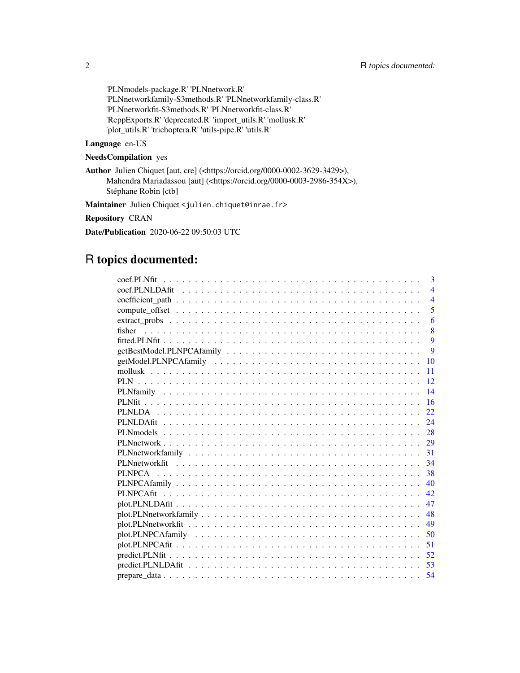'PLNmodels-package.R' 'PLNnetwork.R' 'PLNnetworkfamily-S3methods.R' 'PLNnetworkfamily-class.R' 'PLNnetworkfit-S3methods.R' 'PLNnetworkfit-class.R' 'RcppExports.R' 'deprecated.R' 'import\_utils.R' 'mollusk.R' 'plot\_utils.R' 'trichoptera.R' 'utils-pipe.R' 'utils.R'

### Language en-US

### NeedsCompilation yes

Author Julien Chiquet [aut, cre] (<https://orcid.org/0000-0002-3629-3429>), Mahendra Mariadassou [aut] (<https://orcid.org/0000-0003-2986-354X>), Stéphane Robin [ctb]

Maintainer Julien Chiquet <julien.chiquet@inrae.fr>

### Repository CRAN

Date/Publication 2020-06-22 09:50:03 UTC

## R topics documented:

| 3              |
|----------------|
| $\overline{4}$ |
| $\overline{4}$ |
| 5              |
| 6              |
| 8<br>fisher    |
| 9              |
| 9              |
| 10             |
| 11             |
| 12             |
| 14             |
| 16             |
| 22             |
| 24             |
| 28             |
| 29             |
| 31             |
| 34             |
| 38             |
| 40             |
| 42             |
| 47             |
| 48             |
| 49             |
| 50             |
| 51             |
| 52             |
| 53             |
| 54             |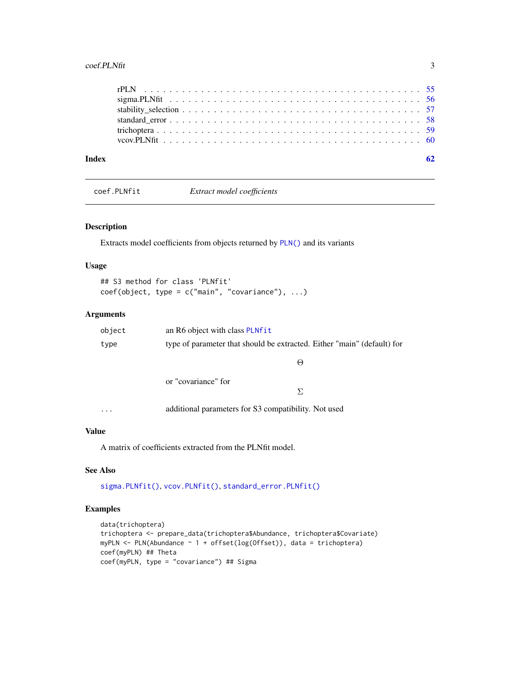#### <span id="page-2-0"></span> $\text{coeff.}\text{PLNfit}$  3

| Index |  |
|-------|--|
|       |  |
|       |  |
|       |  |
|       |  |
|       |  |
|       |  |

<span id="page-2-1"></span>coef.PLNfit *Extract model coefficients*

#### Description

Extracts model coefficients from objects returned by [PLN\(\)](#page-11-1) and its variants

### Usage

```
## S3 method for class 'PLNfit'
coef(object, type = c("main", "covariance"), ...)
```
### Arguments

| object | an R6 object with class PLNfit                                          |  |
|--------|-------------------------------------------------------------------------|--|
| type   | type of parameter that should be extracted. Either "main" (default) for |  |
|        | $\Theta$                                                                |  |
|        | or "covariance" for                                                     |  |
|        | $\Sigma$                                                                |  |
|        |                                                                         |  |

... additional parameters for S3 compatibility. Not used

### Value

A matrix of coefficients extracted from the PLNfit model.

### See Also

[sigma.PLNfit\(\)](#page-55-1), [vcov.PLNfit\(\)](#page-59-1), [standard\\_error.PLNfit\(\)](#page-57-1)

### Examples

```
data(trichoptera)
trichoptera <- prepare_data(trichoptera$Abundance, trichoptera$Covariate)
myPLN <- PLN(Abundance ~ 1 + offset(log(Offset)), data = trichoptera)
coef(myPLN) ## Theta
coef(myPLN, type = "covariance") ## Sigma
```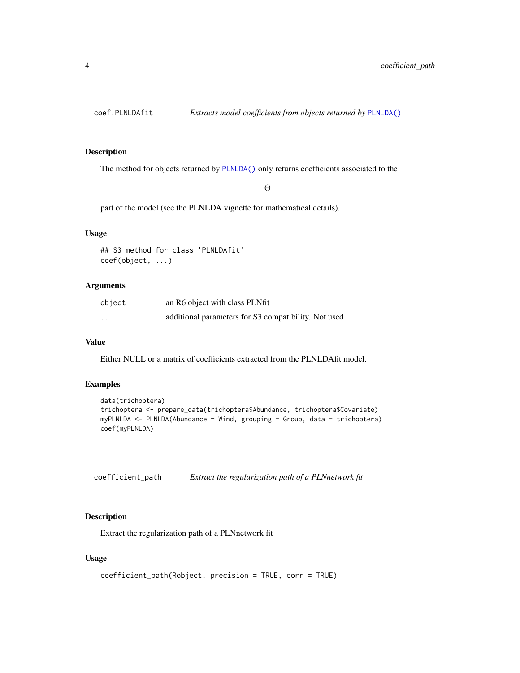<span id="page-3-0"></span>

### Description

The method for objects returned by [PLNLDA\(\)](#page-21-1) only returns coefficients associated to the

Θ

part of the model (see the PLNLDA vignette for mathematical details).

### Usage

```
## S3 method for class 'PLNLDAfit'
coef(object, ...)
```
### Arguments

| object   | an R6 object with class PLNfit                       |
|----------|------------------------------------------------------|
| $\cdots$ | additional parameters for S3 compatibility. Not used |

### Value

Either NULL or a matrix of coefficients extracted from the PLNLDAfit model.

### Examples

```
data(trichoptera)
trichoptera <- prepare_data(trichoptera$Abundance, trichoptera$Covariate)
myPLNLDA <- PLNLDA(Abundance ~ Wind, grouping = Group, data = trichoptera)
coef(myPLNLDA)
```

| coefficient_path | Extract the regularization path of a PLNnetwork fit |
|------------------|-----------------------------------------------------|
|------------------|-----------------------------------------------------|

### Description

Extract the regularization path of a PLNnetwork fit

```
coefficient_path(Robject, precision = TRUE, corr = TRUE)
```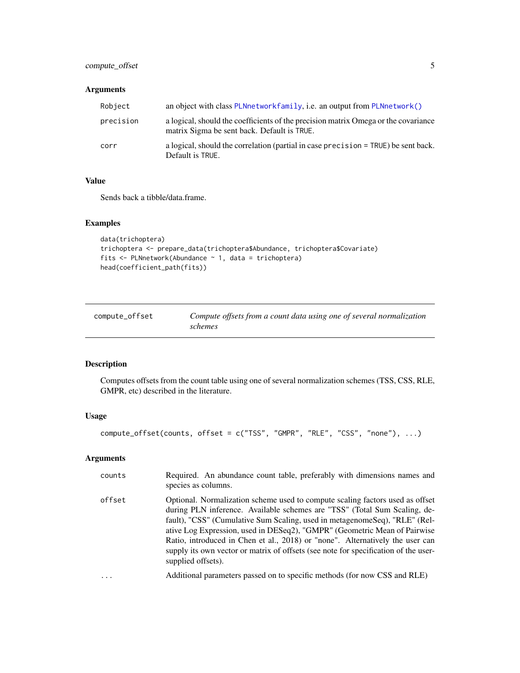### <span id="page-4-0"></span>compute\_offset 5

### Arguments

| Robject   | an object with class PLNnetwork family, i.e. an output from PLNnetwork $()$                                                       |
|-----------|-----------------------------------------------------------------------------------------------------------------------------------|
| precision | a logical, should the coefficients of the precision matrix Omega or the covariance<br>matrix Sigma be sent back. Default is TRUE. |
| corr      | a logical, should the correlation (partial in case precision = TRUE) be sent back.<br>Default is TRUE.                            |

### Value

Sends back a tibble/data.frame.

### Examples

```
data(trichoptera)
trichoptera <- prepare_data(trichoptera$Abundance, trichoptera$Covariate)
fits <- PLNnetwork(Abundance ~ 1, data = trichoptera)
head(coefficient_path(fits))
```
<span id="page-4-1"></span>

| compute_offset | Compute offsets from a count data using one of several normalization |  |
|----------------|----------------------------------------------------------------------|--|
|                | schemes                                                              |  |

### Description

Computes offsets from the count table using one of several normalization schemes (TSS, CSS, RLE, GMPR, etc) described in the literature.

### Usage

```
compute_offset(counts, offset = c("TSS", "GMPR", "RLE", "CSS", "none"), ...)
```
### Arguments

| counts   | Required. An abundance count table, preferably with dimensions names and<br>species as columns.                                                                                                                                                                                                                                                                                                                                                                                                                     |
|----------|---------------------------------------------------------------------------------------------------------------------------------------------------------------------------------------------------------------------------------------------------------------------------------------------------------------------------------------------------------------------------------------------------------------------------------------------------------------------------------------------------------------------|
| offset   | Optional. Normalization scheme used to compute scaling factors used as offset<br>during PLN inference. Available schemes are "TSS" (Total Sum Scaling, de-<br>fault), "CSS" (Cumulative Sum Scaling, used in metagenomeSeq), "RLE" (Rel-<br>ative Log Expression, used in DESeq2), "GMPR" (Geometric Mean of Pairwise<br>Ratio, introduced in Chen et al., 2018) or "none". Alternatively the user can<br>supply its own vector or matrix of offsets (see note for specification of the user-<br>supplied offsets). |
| $\cdots$ | Additional parameters passed on to specific methods (for now CSS and RLE)                                                                                                                                                                                                                                                                                                                                                                                                                                           |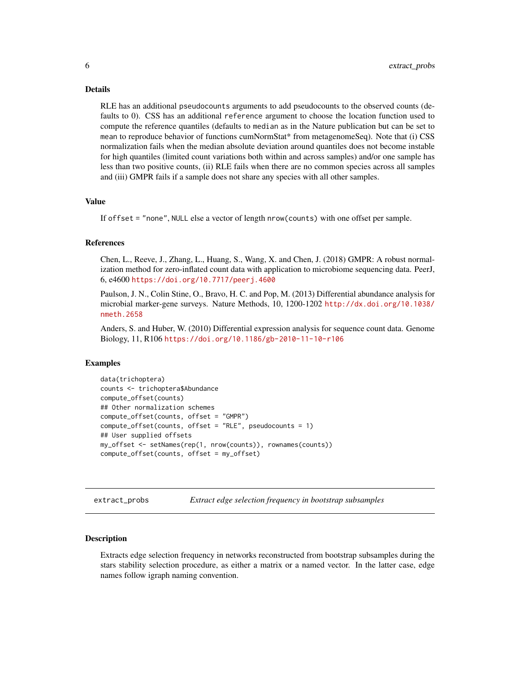#### <span id="page-5-0"></span>Details

RLE has an additional pseudocounts arguments to add pseudocounts to the observed counts (defaults to 0). CSS has an additional reference argument to choose the location function used to compute the reference quantiles (defaults to median as in the Nature publication but can be set to mean to reproduce behavior of functions cumNormStat\* from metagenomeSeq). Note that (i) CSS normalization fails when the median absolute deviation around quantiles does not become instable for high quantiles (limited count variations both within and across samples) and/or one sample has less than two positive counts, (ii) RLE fails when there are no common species across all samples and (iii) GMPR fails if a sample does not share any species with all other samples.

#### Value

If offset = "none", NULL else a vector of length nrow(counts) with one offset per sample.

### References

Chen, L., Reeve, J., Zhang, L., Huang, S., Wang, X. and Chen, J. (2018) GMPR: A robust normalization method for zero-inflated count data with application to microbiome sequencing data. PeerJ, 6, e4600 <https://doi.org/10.7717/peerj.4600>

Paulson, J. N., Colin Stine, O., Bravo, H. C. and Pop, M. (2013) Differential abundance analysis for microbial marker-gene surveys. Nature Methods, 10, 1200-1202 [http://dx.doi.org/10.1038/](http://dx.doi.org/10.1038/nmeth.2658) [nmeth.2658](http://dx.doi.org/10.1038/nmeth.2658)

Anders, S. and Huber, W. (2010) Differential expression analysis for sequence count data. Genome Biology, 11, R106 <https://doi.org/10.1186/gb-2010-11-10-r106>

### Examples

```
data(trichoptera)
counts <- trichoptera$Abundance
compute_offset(counts)
## Other normalization schemes
compute_offset(counts, offset = "GMPR")
compute_offset(counts, offset = "RLE", pseudocounts = 1)
## User supplied offsets
my_offset <- setNames(rep(1, nrow(counts)), rownames(counts))
compute_offset(counts, offset = my_offset)
```
extract\_probs *Extract edge selection frequency in bootstrap subsamples*

### **Description**

Extracts edge selection frequency in networks reconstructed from bootstrap subsamples during the stars stability selection procedure, as either a matrix or a named vector. In the latter case, edge names follow igraph naming convention.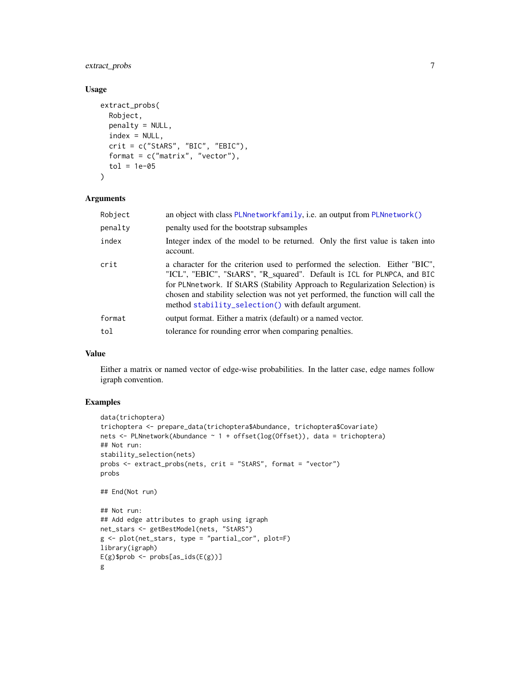### <span id="page-6-0"></span>extract\_probs 7

### Usage

```
extract_probs(
 Robject,
 penalty = NULL,
  index = NULL,
 crit = c("StARS", "BIC", "EBIC"),
 format = c("matrix", "vector"),tol = 1e-05)
```
### Arguments

| Robject | an object with class PLNnetworkfamily, i.e. an output from PLNnetwork()                                                                                                                                                                                                                                                                                                            |  |  |
|---------|------------------------------------------------------------------------------------------------------------------------------------------------------------------------------------------------------------------------------------------------------------------------------------------------------------------------------------------------------------------------------------|--|--|
| penalty | penalty used for the bootstrap subsamples                                                                                                                                                                                                                                                                                                                                          |  |  |
| index   | Integer index of the model to be returned. Only the first value is taken into<br>account.                                                                                                                                                                                                                                                                                          |  |  |
| crit    | a character for the criterion used to performed the selection. Either "BIC",<br>"ICL", "EBIC", "StARS", "R_squared". Default is ICL for PLNPCA, and BIC<br>for PLNnetwork. If StARS (Stability Approach to Regularization Selection) is<br>chosen and stability selection was not yet performed, the function will call the<br>method stability_selection() with default argument. |  |  |
| format  | output format. Either a matrix (default) or a named vector.                                                                                                                                                                                                                                                                                                                        |  |  |
| tol     | tolerance for rounding error when comparing penalties.                                                                                                                                                                                                                                                                                                                             |  |  |

### Value

Either a matrix or named vector of edge-wise probabilities. In the latter case, edge names follow igraph convention.

### Examples

```
data(trichoptera)
trichoptera <- prepare_data(trichoptera$Abundance, trichoptera$Covariate)
nets <- PLNnetwork(Abundance ~ 1 + offset(log(Offset)), data = trichoptera)
## Not run:
stability_selection(nets)
probs <- extract_probs(nets, crit = "StARS", format = "vector")
probs
## End(Not run)
## Not run:
## Add edge attributes to graph using igraph
net_stars <- getBestModel(nets, "StARS")
g <- plot(net_stars, type = "partial_cor", plot=F)
library(igraph)
E(g)$prob <- probs[as_ids(E(g))]
g
```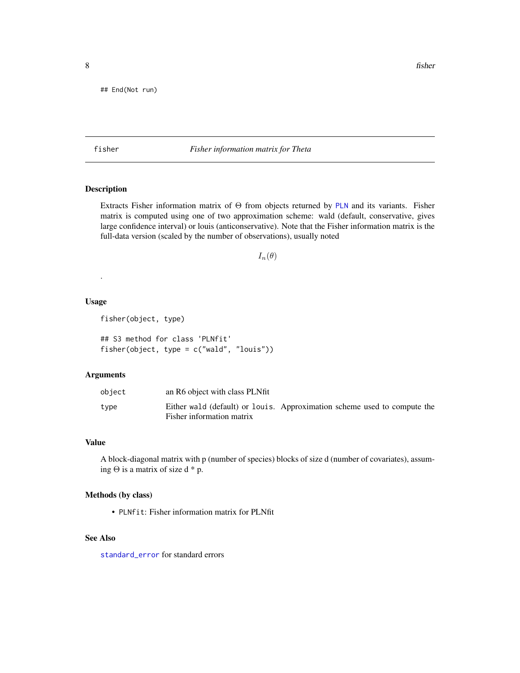<span id="page-7-0"></span>## End(Not run)

### fisher *Fisher information matrix for Theta*

### <span id="page-7-1"></span>Description

Extracts Fisher information matrix of Θ from objects returned by [PLN](#page-11-1) and its variants. Fisher matrix is computed using one of two approximation scheme: wald (default, conservative, gives large confidence interval) or louis (anticonservative). Note that the Fisher information matrix is the full-data version (scaled by the number of observations), usually noted

```
I_n(\theta)
```
#### Usage

.

fisher(object, type)

## S3 method for class 'PLNfit' fisher(object, type = c("wald", "louis"))

### Arguments

| object | an R6 object with class PLNfit                                                                        |  |  |
|--------|-------------------------------------------------------------------------------------------------------|--|--|
| type   | Either wald (default) or louis. Approximation scheme used to compute the<br>Fisher information matrix |  |  |

#### Value

A block-diagonal matrix with p (number of species) blocks of size d (number of covariates), assuming  $\Theta$  is a matrix of size d \* p.

### Methods (by class)

• PLNfit: Fisher information matrix for PLNfit

### See Also

[standard\\_error](#page-57-1) for standard errors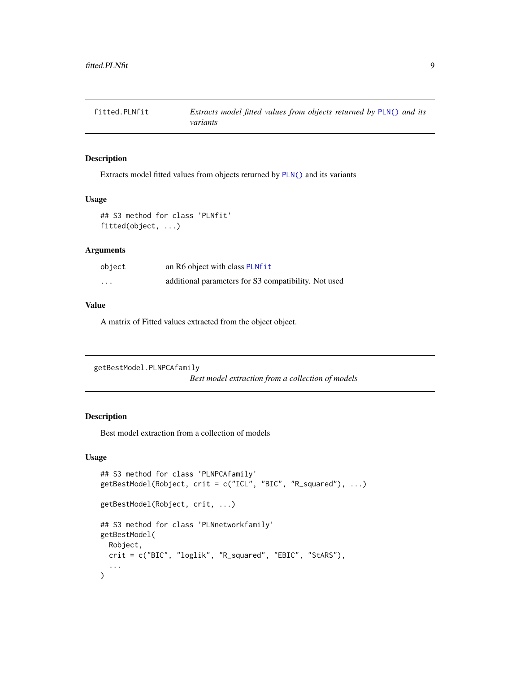<span id="page-8-0"></span>

### Description

Extracts model fitted values from objects returned by [PLN\(\)](#page-11-1) and its variants

#### Usage

```
## S3 method for class 'PLNfit'
fitted(object, ...)
```
#### Arguments

| object   | an R6 object with class PLNfit                       |
|----------|------------------------------------------------------|
| $\cdots$ | additional parameters for S3 compatibility. Not used |

#### Value

A matrix of Fitted values extracted from the object object.

```
getBestModel.PLNPCAfamily
```
*Best model extraction from a collection of models*

### <span id="page-8-1"></span>Description

Best model extraction from a collection of models

```
## S3 method for class 'PLNPCAfamily'
getBestModel(Robject, crit = c("ICL", "BIC", "R_squared"), ...)
getBestModel(Robject, crit, ...)
## S3 method for class 'PLNnetworkfamily'
getBestModel(
 Robject,
 crit = c("BIC", "loglik", "R_squared", "EBIC", "StARS"),
  ...
\mathcal{L}
```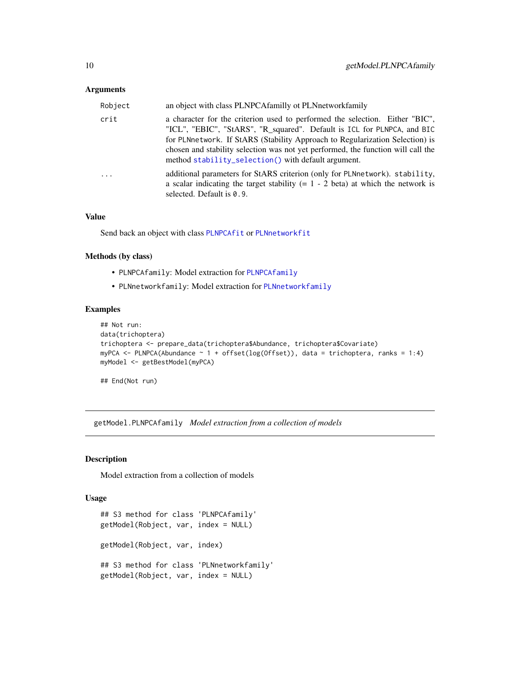### <span id="page-9-0"></span>**Arguments**

| Robject  | an object with class PLNPCAfamilly ot PLNnetworkfamily                                                                                                                                                                                                                                                                                                                             |
|----------|------------------------------------------------------------------------------------------------------------------------------------------------------------------------------------------------------------------------------------------------------------------------------------------------------------------------------------------------------------------------------------|
| crit     | a character for the criterion used to performed the selection. Either "BIC",<br>"ICL", "EBIC", "StARS", "R_squared". Default is ICL for PLNPCA, and BIC<br>for PLNnetwork. If StARS (Stability Approach to Regularization Selection) is<br>chosen and stability selection was not yet performed, the function will call the<br>method stability_selection() with default argument. |
| $\ddots$ | additional parameters for StARS criterion (only for PLNnetwork). stability,<br>a scalar indicating the target stability $(= 1 - 2 \text{ beta})$ at which the network is<br>selected. Default is $0.9$ .                                                                                                                                                                           |

#### Value

Send back an object with class [PLNPCAfit](#page-41-1) or [PLNnetworkfit](#page-33-1)

### Methods (by class)

- PLNPCAfamily: Model extraction for [PLNPCAfamily](#page-39-1)
- PLNnetworkfamily: Model extraction for [PLNnetworkfamily](#page-30-1)

### Examples

```
## Not run:
data(trichoptera)
trichoptera <- prepare_data(trichoptera$Abundance, trichoptera$Covariate)
myPCA <- PLNPCA(Abundance ~ 1 + offset(log(Offset)), data = trichoptera, ranks = 1:4)
myModel <- getBestModel(myPCA)
```
## End(Not run)

getModel.PLNPCAfamily *Model extraction from a collection of models*

### <span id="page-9-1"></span>Description

Model extraction from a collection of models

```
## S3 method for class 'PLNPCAfamily'
getModel(Robject, var, index = NULL)
getModel(Robject, var, index)
## S3 method for class 'PLNnetworkfamily'
getModel(Robject, var, index = NULL)
```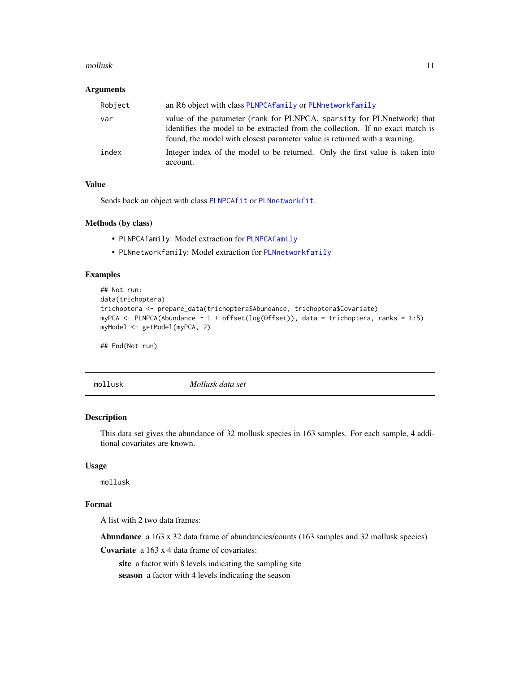#### <span id="page-10-0"></span>mollusk 11

#### Arguments

| Robject | an R6 object with class PLNPCAfamily or PLNnetworkfamily                                                                                                                                                                              |
|---------|---------------------------------------------------------------------------------------------------------------------------------------------------------------------------------------------------------------------------------------|
| var     | value of the parameter (rank for PLNPCA, sparsity for PLNnetwork) that<br>identifies the model to be extracted from the collection. If no exact match is<br>found, the model with closest parameter value is returned with a warning. |
| index   | Integer index of the model to be returned. Only the first value is taken into<br>account.                                                                                                                                             |

### Value

Sends back an object with class [PLNPCAfit](#page-41-1) or [PLNnetworkfit](#page-33-1).

### Methods (by class)

- PLNPCAfamily: Model extraction for [PLNPCAfamily](#page-39-1)
- PLNnetworkfamily: Model extraction for [PLNnetworkfamily](#page-30-1)

#### Examples

```
## Not run:
data(trichoptera)
trichoptera <- prepare_data(trichoptera$Abundance, trichoptera$Covariate)
myPCA <- PLNPCA(Abundance ~ 1 + offset(log(Offset)), data = trichoptera, ranks = 1:5)
myModel <- getModel(myPCA, 2)
```
## End(Not run)

mollusk *Mollusk data set*

### Description

This data set gives the abundance of 32 mollusk species in 163 samples. For each sample, 4 additional covariates are known.

#### Usage

mollusk

### Format

A list with 2 two data frames:

Abundance a 163 x 32 data frame of abundancies/counts (163 samples and 32 mollusk species)

Covariate a 163 x 4 data frame of covariates:

site a factor with 8 levels indicating the sampling site season a factor with 4 levels indicating the season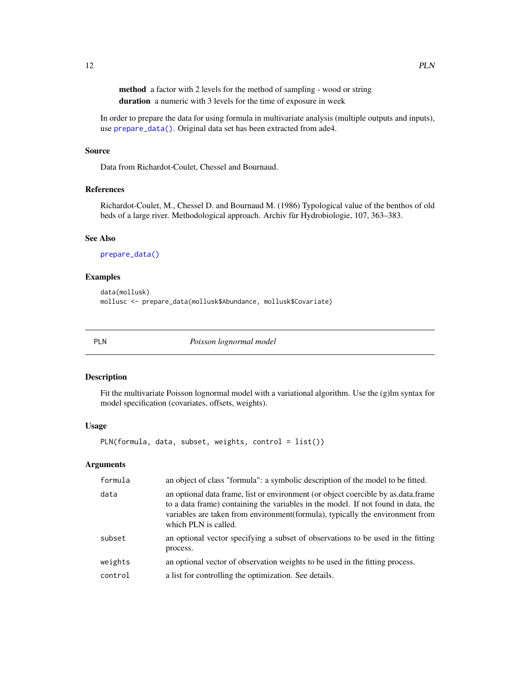<span id="page-11-0"></span>method a factor with 2 levels for the method of sampling - wood or string duration a numeric with 3 levels for the time of exposure in week

In order to prepare the data for using formula in multivariate analysis (multiple outputs and inputs), use [prepare\\_data\(\)](#page-53-1). Original data set has been extracted from ade4.

### Source

Data from Richardot-Coulet, Chessel and Bournaud.

### References

Richardot-Coulet, M., Chessel D. and Bournaud M. (1986) Typological value of the benthos of old beds of a large river. Methodological approach. Archiv fùr Hydrobiologie, 107, 363–383.

### See Also

[prepare\\_data\(\)](#page-53-1)

### Examples

```
data(mollusk)
mollusc <- prepare_data(mollusk$Abundance, mollusk$Covariate)
```
<span id="page-11-1"></span>

|--|--|

 $Poisson$  *lognormal* model

#### Description

Fit the multivariate Poisson lognormal model with a variational algorithm. Use the (g)lm syntax for model specification (covariates, offsets, weights).

#### Usage

PLN(formula, data, subset, weights, control = list())

#### Arguments

| formula            | an object of class "formula": a symbolic description of the model to be fitted.                                                                                                                                                                                                 |
|--------------------|---------------------------------------------------------------------------------------------------------------------------------------------------------------------------------------------------------------------------------------------------------------------------------|
| data               | an optional data frame, list or environment (or object coercible by as data frame<br>to a data frame) containing the variables in the model. If not found in data, the<br>variables are taken from environment(formula), typically the environment from<br>which PLN is called. |
| subset             | an optional vector specifying a subset of observations to be used in the fitting<br>process.                                                                                                                                                                                    |
| weights<br>control | an optional vector of observation weights to be used in the fitting process.<br>a list for controlling the optimization. See details.                                                                                                                                           |
|                    |                                                                                                                                                                                                                                                                                 |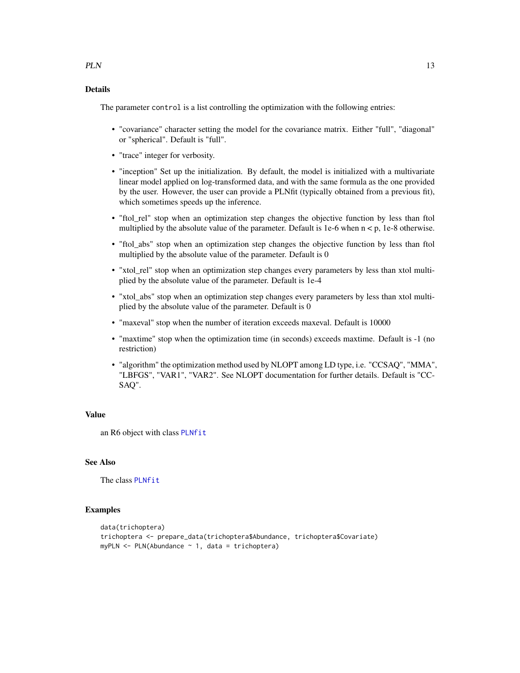### Details

The parameter control is a list controlling the optimization with the following entries:

- "covariance" character setting the model for the covariance matrix. Either "full", "diagonal" or "spherical". Default is "full".
- "trace" integer for verbosity.
- "inception" Set up the initialization. By default, the model is initialized with a multivariate linear model applied on log-transformed data, and with the same formula as the one provided by the user. However, the user can provide a PLNfit (typically obtained from a previous fit), which sometimes speeds up the inference.
- "ftol\_rel" stop when an optimization step changes the objective function by less than ftol multiplied by the absolute value of the parameter. Default is 1e-6 when  $n < p$ , 1e-8 otherwise.
- "ftol\_abs" stop when an optimization step changes the objective function by less than ftol multiplied by the absolute value of the parameter. Default is 0
- "xtol\_rel" stop when an optimization step changes every parameters by less than xtol multiplied by the absolute value of the parameter. Default is 1e-4
- "xtol\_abs" stop when an optimization step changes every parameters by less than xtol multiplied by the absolute value of the parameter. Default is 0
- "maxeval" stop when the number of iteration exceeds maxeval. Default is 10000
- "maxtime" stop when the optimization time (in seconds) exceeds maxtime. Default is -1 (no restriction)
- "algorithm" the optimization method used by NLOPT among LD type, i.e. "CCSAQ", "MMA", "LBFGS", "VAR1", "VAR2". See NLOPT documentation for further details. Default is "CC-SAQ".

#### Value

an R6 object with class [PLNfit](#page-15-1)

#### See Also

The class [PLNfit](#page-15-1)

### Examples

```
data(trichoptera)
trichoptera <- prepare_data(trichoptera$Abundance, trichoptera$Covariate)
myPLN <- PLN(Abundance ~ 1, data = trichoptera)
```
<span id="page-12-0"></span> $PLN$  13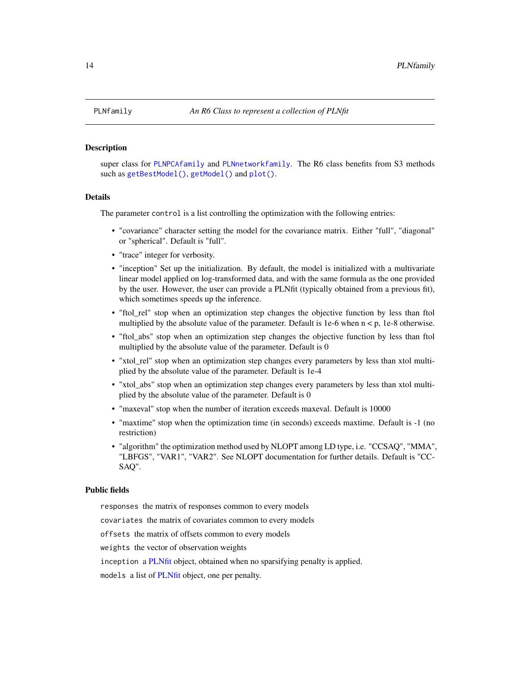<span id="page-13-1"></span><span id="page-13-0"></span>

#### **Description**

super class for [PLNPCAfamily](#page-39-1) and [PLNnetworkfamily](#page-30-1). The R6 class benefits from S3 methods such as [getBestModel\(\)](#page-8-1), [getModel\(\)](#page-9-1) and [plot\(\)](#page-49-1).

#### Details

The parameter control is a list controlling the optimization with the following entries:

- "covariance" character setting the model for the covariance matrix. Either "full", "diagonal" or "spherical". Default is "full".
- "trace" integer for verbosity.
- "inception" Set up the initialization. By default, the model is initialized with a multivariate linear model applied on log-transformed data, and with the same formula as the one provided by the user. However, the user can provide a PLNfit (typically obtained from a previous fit), which sometimes speeds up the inference.
- "ftol\_rel" stop when an optimization step changes the objective function by less than ftol multiplied by the absolute value of the parameter. Default is 1e-6 when  $n < p$ , 1e-8 otherwise.
- "ftol\_abs" stop when an optimization step changes the objective function by less than ftol multiplied by the absolute value of the parameter. Default is 0
- "xtol\_rel" stop when an optimization step changes every parameters by less than xtol multiplied by the absolute value of the parameter. Default is 1e-4
- "xtol\_abs" stop when an optimization step changes every parameters by less than xtol multiplied by the absolute value of the parameter. Default is 0
- "maxeval" stop when the number of iteration exceeds maxeval. Default is 10000
- "maxtime" stop when the optimization time (in seconds) exceeds maxtime. Default is -1 (no restriction)
- "algorithm" the optimization method used by NLOPT among LD type, i.e. "CCSAQ", "MMA", "LBFGS", "VAR1", "VAR2". See NLOPT documentation for further details. Default is "CC-SAQ".

### Public fields

responses the matrix of responses common to every models

covariates the matrix of covariates common to every models

offsets the matrix of offsets common to every models

weights the vector of observation weights

inception a [PLNfit](#page-15-1) object, obtained when no sparsifying penalty is applied.

models a list of [PLNfit](#page-15-1) object, one per penalty.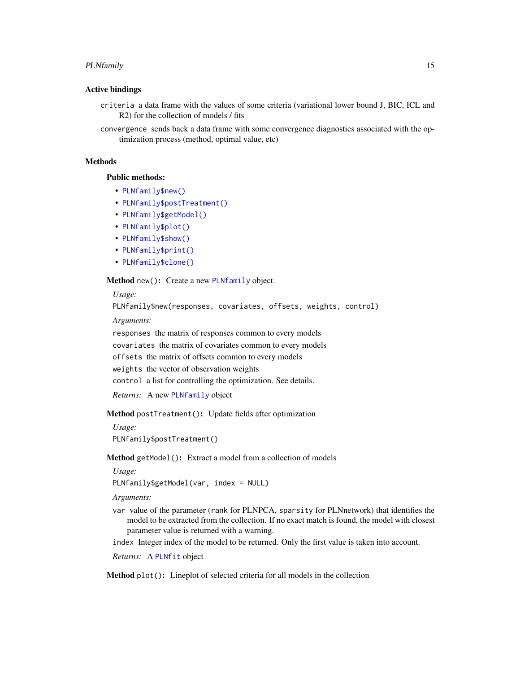#### <span id="page-14-4"></span>PLNfamily 15

#### Active bindings

- criteria a data frame with the values of some criteria (variational lower bound J, BIC, ICL and R2) for the collection of models / fits
- convergence sends back a data frame with some convergence diagnostics associated with the optimization process (method, optimal value, etc)

### Methods

Public methods:

- [PLNfamily\\$new\(\)](#page-14-0)
- [PLNfamily\\$postTreatment\(\)](#page-14-1)
- [PLNfamily\\$getModel\(\)](#page-14-2)
- [PLNfamily\\$plot\(\)](#page-14-3)
- [PLNfamily\\$show\(\)](#page-15-2)
- [PLNfamily\\$print\(\)](#page-15-3)
- [PLNfamily\\$clone\(\)](#page-15-4)

<span id="page-14-0"></span>Method new(): Create a new [PLNfamily](#page-13-1) object.

*Usage:*

PLNfamily\$new(responses, covariates, offsets, weights, control)

*Arguments:*

responses the matrix of responses common to every models covariates the matrix of covariates common to every models offsets the matrix of offsets common to every models weights the vector of observation weights control a list for controlling the optimization. See details.

*Returns:* A new [PLNfamily](#page-13-1) object

<span id="page-14-1"></span>Method postTreatment(): Update fields after optimization

*Usage:*

PLNfamily\$postTreatment()

<span id="page-14-2"></span>Method getModel(): Extract a model from a collection of models

*Usage:*

PLNfamily\$getModel(var, index = NULL)

*Arguments:*

- var value of the parameter (rank for PLNPCA, sparsity for PLNnetwork) that identifies the model to be extracted from the collection. If no exact match is found, the model with closest parameter value is returned with a warning.
- index Integer index of the model to be returned. Only the first value is taken into account.

*Returns:* A [PLNfit](#page-15-1) object

<span id="page-14-3"></span>Method plot(): Lineplot of selected criteria for all models in the collection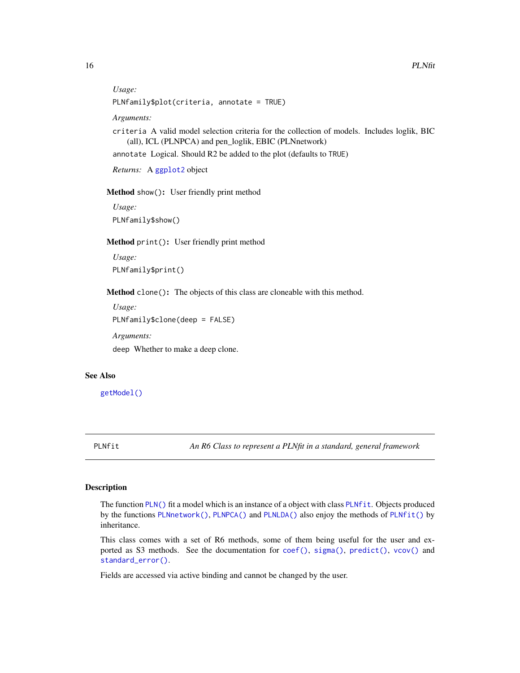```
Usage:
```

```
PLNfamily$plot(criteria, annotate = TRUE)
```
*Arguments:*

criteria A valid model selection criteria for the collection of models. Includes loglik, BIC (all), ICL (PLNPCA) and pen\_loglik, EBIC (PLNnetwork)

annotate Logical. Should R2 be added to the plot (defaults to TRUE)

*Returns:* A [ggplot2](#page-0-0) object

<span id="page-15-2"></span>Method show(): User friendly print method

*Usage:* PLNfamily\$show()

<span id="page-15-3"></span>Method print(): User friendly print method

*Usage:* PLNfamily\$print()

<span id="page-15-4"></span>Method clone(): The objects of this class are cloneable with this method.

*Usage:* PLNfamily\$clone(deep = FALSE) *Arguments:* deep Whether to make a deep clone.

### See Also

[getModel\(\)](#page-9-1)

<span id="page-15-1"></span>

PLNfit *An R6 Class to represent a PLNfit in a standard, general framework*

### **Description**

The function [PLN\(\)](#page-11-1) fit a model which is an instance of a object with class [PLNfit](#page-15-1). Objects produced by the functions [PLNnetwork\(\)](#page-28-1), [PLNPCA\(\)](#page-37-1) and [PLNLDA\(\)](#page-21-1) also enjoy the methods of [PLNfit\(\)](#page-15-1) by inheritance.

This class comes with a set of R6 methods, some of them being useful for the user and exported as S3 methods. See the documentation for [coef\(\)](#page-0-0), [sigma\(\)](#page-0-0), [predict\(\)](#page-0-0), [vcov\(\)](#page-0-0) and [standard\\_error\(\)](#page-57-2).

Fields are accessed via active binding and cannot be changed by the user.

<span id="page-15-0"></span>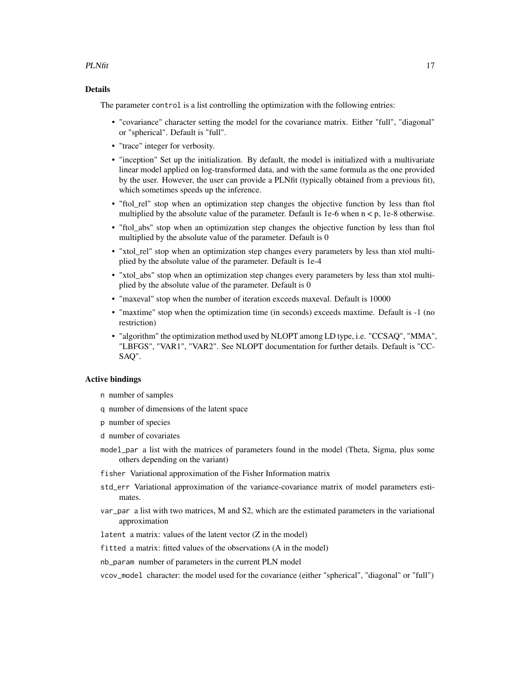#### $PLNfit$  17

### Details

The parameter control is a list controlling the optimization with the following entries:

- "covariance" character setting the model for the covariance matrix. Either "full", "diagonal" or "spherical". Default is "full".
- "trace" integer for verbosity.
- "inception" Set up the initialization. By default, the model is initialized with a multivariate linear model applied on log-transformed data, and with the same formula as the one provided by the user. However, the user can provide a PLNfit (typically obtained from a previous fit), which sometimes speeds up the inference.
- "ftol rel" stop when an optimization step changes the objective function by less than ftol multiplied by the absolute value of the parameter. Default is 1e-6 when  $n < p$ , 1e-8 otherwise.
- "ftol\_abs" stop when an optimization step changes the objective function by less than ftol multiplied by the absolute value of the parameter. Default is 0
- "xtol\_rel" stop when an optimization step changes every parameters by less than xtol multiplied by the absolute value of the parameter. Default is 1e-4
- "xtol\_abs" stop when an optimization step changes every parameters by less than xtol multiplied by the absolute value of the parameter. Default is 0
- "maxeval" stop when the number of iteration exceeds maxeval. Default is 10000
- "maxtime" stop when the optimization time (in seconds) exceeds maxtime. Default is -1 (no restriction)
- "algorithm" the optimization method used by NLOPT among LD type, i.e. "CCSAQ", "MMA", "LBFGS", "VAR1", "VAR2". See NLOPT documentation for further details. Default is "CC-SAQ".

#### Active bindings

- n number of samples
- q number of dimensions of the latent space
- p number of species
- d number of covariates
- model\_par a list with the matrices of parameters found in the model (Theta, Sigma, plus some others depending on the variant)
- fisher Variational approximation of the Fisher Information matrix
- std\_err Variational approximation of the variance-covariance matrix of model parameters estimates.
- var\_par a list with two matrices, M and S2, which are the estimated parameters in the variational approximation
- latent a matrix: values of the latent vector (Z in the model)
- fitted a matrix: fitted values of the observations (A in the model)
- nb\_param number of parameters in the current PLN model
- vcov\_model character: the model used for the covariance (either "spherical", "diagonal" or "full")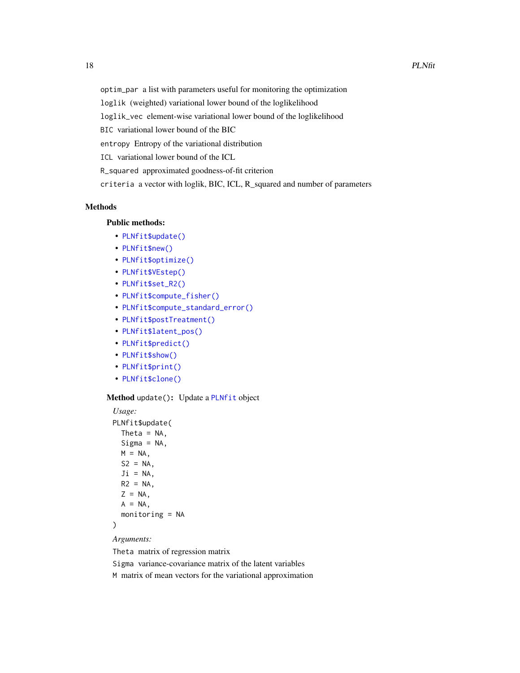<span id="page-17-1"></span>optim\_par a list with parameters useful for monitoring the optimization

loglik (weighted) variational lower bound of the loglikelihood

loglik\_vec element-wise variational lower bound of the loglikelihood

BIC variational lower bound of the BIC

entropy Entropy of the variational distribution

ICL variational lower bound of the ICL

R\_squared approximated goodness-of-fit criterion

criteria a vector with loglik, BIC, ICL, R\_squared and number of parameters

### Methods

### Public methods:

- [PLNfit\\$update\(\)](#page-17-0)
- [PLNfit\\$new\(\)](#page-14-0)
- [PLNfit\\$optimize\(\)](#page-18-0)
- [PLNfit\\$VEstep\(\)](#page-18-1)
- [PLNfit\\$set\\_R2\(\)](#page-19-0)
- [PLNfit\\$compute\\_fisher\(\)](#page-19-1)
- [PLNfit\\$compute\\_standard\\_error\(\)](#page-19-2)
- [PLNfit\\$postTreatment\(\)](#page-14-1)
- [PLNfit\\$latent\\_pos\(\)](#page-20-0)
- [PLNfit\\$predict\(\)](#page-20-1)
- [PLNfit\\$show\(\)](#page-15-2)
- [PLNfit\\$print\(\)](#page-15-3)
- [PLNfit\\$clone\(\)](#page-15-4)

### <span id="page-17-0"></span>Method update(): Update a [PLNfit](#page-15-1) object

```
Usage:
PLNfit$update(
 Theta = NA,
 Sigma = NA,
 M = NA,
 S2 = NA,
 Ji = NA,
 R2 = NA,
 Z = NA,
 A = NA,
 monitoring = NA
)
```
#### *Arguments:*

Theta matrix of regression matrix

Sigma variance-covariance matrix of the latent variables

M matrix of mean vectors for the variational approximation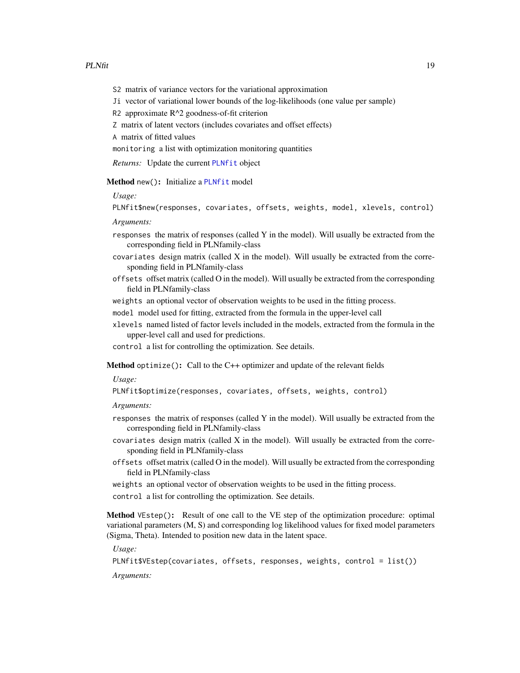- <span id="page-18-2"></span>S2 matrix of variance vectors for the variational approximation
- Ji vector of variational lower bounds of the log-likelihoods (one value per sample)
- R2 approximate R^2 goodness-of-fit criterion
- Z matrix of latent vectors (includes covariates and offset effects)

A matrix of fitted values

monitoring a list with optimization monitoring quantities

*Returns:* Update the current [PLNfit](#page-15-1) object

Method new(): Initialize a [PLNfit](#page-15-1) model

*Usage:*

PLNfit\$new(responses, covariates, offsets, weights, model, xlevels, control)

*Arguments:*

- responses the matrix of responses (called Y in the model). Will usually be extracted from the corresponding field in PLNfamily-class
- covariates design matrix (called X in the model). Will usually be extracted from the corresponding field in PLNfamily-class
- offsets offset matrix (called O in the model). Will usually be extracted from the corresponding field in PLNfamily-class

weights an optional vector of observation weights to be used in the fitting process.

model model used for fitting, extracted from the formula in the upper-level call

xlevels named listed of factor levels included in the models, extracted from the formula in the upper-level call and used for predictions.

control a list for controlling the optimization. See details.

<span id="page-18-0"></span>**Method** optimize(): Call to the  $C++$  optimizer and update of the relevant fields

*Usage:*

PLNfit\$optimize(responses, covariates, offsets, weights, control)

*Arguments:*

- responses the matrix of responses (called Y in the model). Will usually be extracted from the corresponding field in PLNfamily-class
- $covariates$  design matrix (called  $X$  in the model). Will usually be extracted from the corresponding field in PLNfamily-class
- offsets offset matrix (called O in the model). Will usually be extracted from the corresponding field in PLNfamily-class
- weights an optional vector of observation weights to be used in the fitting process.
- control a list for controlling the optimization. See details.

<span id="page-18-1"></span>Method VEstep(): Result of one call to the VE step of the optimization procedure: optimal variational parameters (M, S) and corresponding log likelihood values for fixed model parameters (Sigma, Theta). Intended to position new data in the latent space.

*Usage:*

PLNfit\$VEstep(covariates, offsets, responses, weights, control = list())

*Arguments:*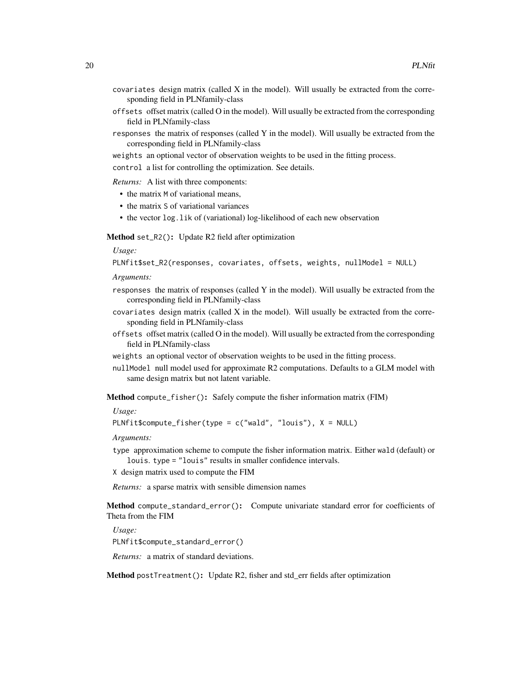- $covariates$  design matrix (called  $X$  in the model). Will usually be extracted from the corresponding field in PLNfamily-class
- offsets offset matrix (called O in the model). Will usually be extracted from the corresponding field in PLNfamily-class
- responses the matrix of responses (called Y in the model). Will usually be extracted from the corresponding field in PLNfamily-class
- weights an optional vector of observation weights to be used in the fitting process.

control a list for controlling the optimization. See details.

*Returns:* A list with three components:

- the matrix M of variational means,
- the matrix S of variational variances
- the vector log.lik of (variational) log-likelihood of each new observation

<span id="page-19-0"></span>Method set\_R2(): Update R2 field after optimization

*Usage:*

```
PLNfit$set_R2(responses, covariates, offsets, weights, nullModel = NULL)
```
*Arguments:*

- responses the matrix of responses (called Y in the model). Will usually be extracted from the corresponding field in PLNfamily-class
- $covariates$  design matrix (called  $X$  in the model). Will usually be extracted from the corresponding field in PLNfamily-class
- offsets offset matrix (called O in the model). Will usually be extracted from the corresponding field in PLNfamily-class
- weights an optional vector of observation weights to be used in the fitting process.
- nullModel null model used for approximate R2 computations. Defaults to a GLM model with same design matrix but not latent variable.

<span id="page-19-1"></span>Method compute\_fisher(): Safely compute the fisher information matrix (FIM)

*Usage:*

PLNfit\$compute\_fisher(type = c("wald", "louis"), X = NULL)

*Arguments:*

- type approximation scheme to compute the fisher information matrix. Either wald (default) or louis. type = "louis" results in smaller confidence intervals.
- X design matrix used to compute the FIM

*Returns:* a sparse matrix with sensible dimension names

<span id="page-19-2"></span>Method compute\_standard\_error(): Compute univariate standard error for coefficients of Theta from the FIM

*Usage:*

PLNfit\$compute\_standard\_error()

*Returns:* a matrix of standard deviations.

Method postTreatment(): Update R2, fisher and std\_err fields after optimization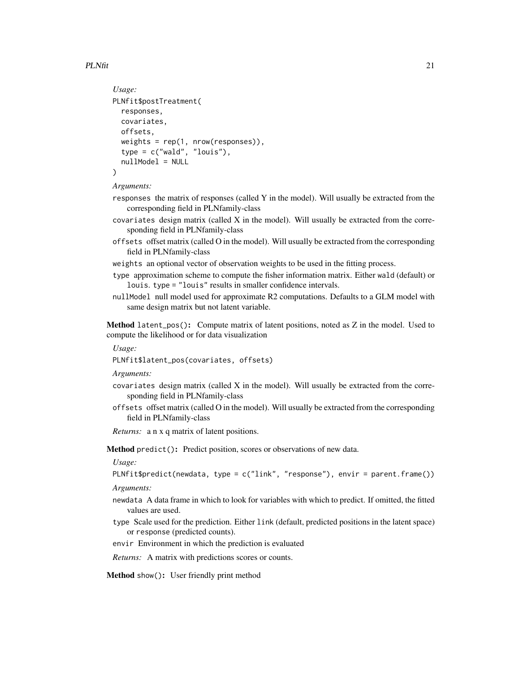#### $PLNfit$  21

```
Usage:
PLNfit$postTreatment(
  responses,
 covariates,
 offsets,
 weights = rep(1, nrow(responents)),type = c("wald", "Iouis"),nullModel = NULL)
```
#### *Arguments:*

- responses the matrix of responses (called Y in the model). Will usually be extracted from the corresponding field in PLNfamily-class
- $covariates$  design matrix (called  $X$  in the model). Will usually be extracted from the corresponding field in PLNfamily-class
- offsets offset matrix (called O in the model). Will usually be extracted from the corresponding field in PLNfamily-class
- weights an optional vector of observation weights to be used in the fitting process.
- type approximation scheme to compute the fisher information matrix. Either wald (default) or louis. type = "louis" results in smaller confidence intervals.
- nullModel null model used for approximate R2 computations. Defaults to a GLM model with same design matrix but not latent variable.

<span id="page-20-0"></span>**Method** latent\_pos(): Compute matrix of latent positions, noted as  $Z$  in the model. Used to compute the likelihood or for data visualization

```
Usage:
```
PLNfit\$latent\_pos(covariates, offsets)

*Arguments:*

- covariates design matrix (called X in the model). Will usually be extracted from the corresponding field in PLNfamily-class
- offsets offset matrix (called O in the model). Will usually be extracted from the corresponding field in PLNfamily-class

*Returns:* a n x q matrix of latent positions.

<span id="page-20-1"></span>Method predict(): Predict position, scores or observations of new data.

*Usage:*

PLNfit\$predict(newdata, type = c("link", "response"), envir = parent.frame()) *Arguments:*

- newdata A data frame in which to look for variables with which to predict. If omitted, the fitted values are used.
- type Scale used for the prediction. Either link (default, predicted positions in the latent space) or response (predicted counts).

envir Environment in which the prediction is evaluated

*Returns:* A matrix with predictions scores or counts.

Method show(): User friendly print method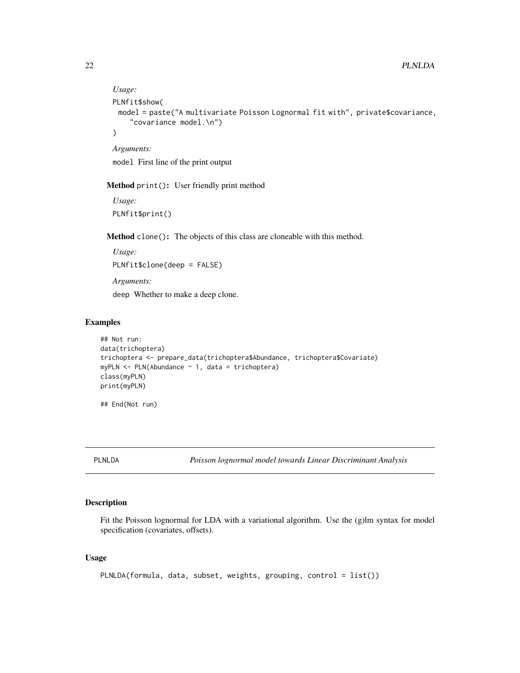```
Usage:
PLNfit$show(
 model = paste("A multivariate Poisson Lognormal fit with", private$covariance,
    "covariance model.\n")
\lambdaArguments:
```
model First line of the print output

Method print(): User friendly print method

*Usage:* PLNfit\$print()

Method clone(): The objects of this class are cloneable with this method.

*Usage:* PLNfit\$clone(deep = FALSE) *Arguments:* deep Whether to make a deep clone.

### Examples

```
## Not run:
data(trichoptera)
trichoptera <- prepare_data(trichoptera$Abundance, trichoptera$Covariate)
myPLN \leq PLN(Abundance \sim 1, data = trichoptera)
class(myPLN)
print(myPLN)
```
## End(Not run)

<span id="page-21-1"></span>PLNLDA *Poisson lognormal model towards Linear Discriminant Analysis*

#### Description

Fit the Poisson lognormal for LDA with a variational algorithm. Use the (g)lm syntax for model specification (covariates, offsets).

```
PLNLDA(formula, data, subset, weights, grouping, control = list())
```
<span id="page-21-0"></span>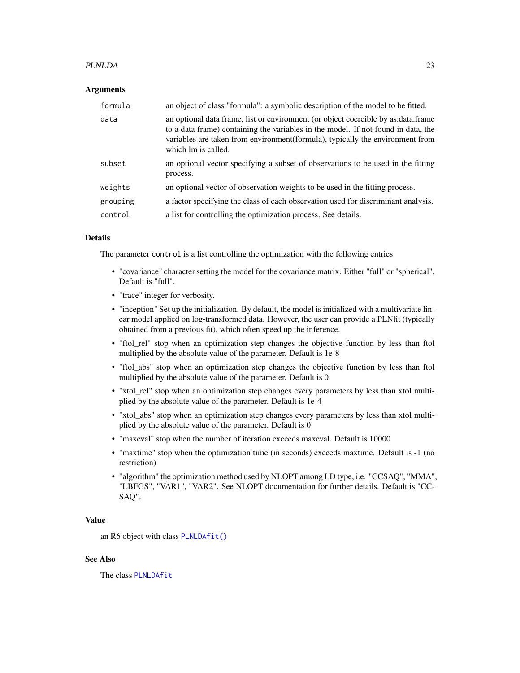#### <span id="page-22-0"></span>PLNLDA 23

#### Arguments

| formula  | an object of class "formula": a symbolic description of the model to be fitted.                                                                                                                                                                                                |
|----------|--------------------------------------------------------------------------------------------------------------------------------------------------------------------------------------------------------------------------------------------------------------------------------|
| data     | an optional data frame, list or environment (or object coercible by as data frame<br>to a data frame) containing the variables in the model. If not found in data, the<br>variables are taken from environment(formula), typically the environment from<br>which lm is called. |
| subset   | an optional vector specifying a subset of observations to be used in the fitting<br>process.                                                                                                                                                                                   |
| weights  | an optional vector of observation weights to be used in the fitting process.                                                                                                                                                                                                   |
| grouping | a factor specifying the class of each observation used for discriminant analysis.                                                                                                                                                                                              |
| control  | a list for controlling the optimization process. See details.                                                                                                                                                                                                                  |

### Details

The parameter control is a list controlling the optimization with the following entries:

- "covariance" character setting the model for the covariance matrix. Either "full" or "spherical". Default is "full".
- "trace" integer for verbosity.
- "inception" Set up the initialization. By default, the model is initialized with a multivariate linear model applied on log-transformed data. However, the user can provide a PLNfit (typically obtained from a previous fit), which often speed up the inference.
- "ftol rel" stop when an optimization step changes the objective function by less than ftol multiplied by the absolute value of the parameter. Default is 1e-8
- "ftol\_abs" stop when an optimization step changes the objective function by less than ftol multiplied by the absolute value of the parameter. Default is 0
- "xtol\_rel" stop when an optimization step changes every parameters by less than xtol multiplied by the absolute value of the parameter. Default is 1e-4
- "xtol\_abs" stop when an optimization step changes every parameters by less than xtol multiplied by the absolute value of the parameter. Default is 0
- "maxeval" stop when the number of iteration exceeds maxeval. Default is 10000
- "maxtime" stop when the optimization time (in seconds) exceeds maxtime. Default is -1 (no restriction)
- "algorithm" the optimization method used by NLOPT among LD type, i.e. "CCSAQ", "MMA", "LBFGS", "VAR1", "VAR2". See NLOPT documentation for further details. Default is "CC-SAQ".

#### Value

an R6 object with class [PLNLDAfit\(\)](#page-23-1)

### See Also

The class [PLNLDAfit](#page-23-1)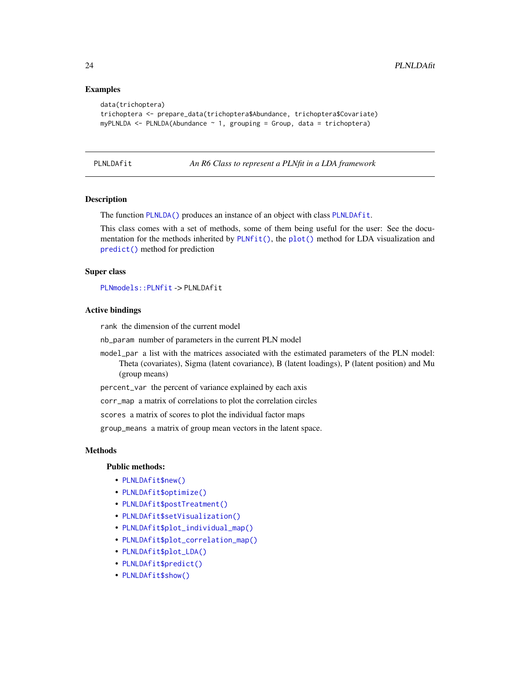### Examples

```
data(trichoptera)
trichoptera <- prepare_data(trichoptera$Abundance, trichoptera$Covariate)
myPLNLDA \leq-PLNLDA(Abundance \sim 1, grouping = Group, data = trichoptera)
```
<span id="page-23-1"></span>PLNLDAfit *An R6 Class to represent a PLNfit in a LDA framework*

#### Description

The function [PLNLDA\(\)](#page-21-1) produces an instance of an object with class [PLNLDAfit](#page-23-1).

This class comes with a set of methods, some of them being useful for the user: See the documentation for the methods inherited by [PLNfit\(\)](#page-15-1), the [plot\(\)](#page-0-0) method for LDA visualization and [predict\(\)](#page-0-0) method for prediction

#### Super class

[PLNmodels::PLNfit](#page-0-0) -> PLNLDAfit

#### Active bindings

rank the dimension of the current model

nb\_param number of parameters in the current PLN model

model\_par a list with the matrices associated with the estimated parameters of the PLN model: Theta (covariates), Sigma (latent covariance), B (latent loadings), P (latent position) and Mu (group means)

percent\_var the percent of variance explained by each axis

corr\_map a matrix of correlations to plot the correlation circles

scores a matrix of scores to plot the individual factor maps

group\_means a matrix of group mean vectors in the latent space.

#### Methods

#### Public methods:

- [PLNLDAfit\\$new\(\)](#page-14-0)
- [PLNLDAfit\\$optimize\(\)](#page-18-0)
- [PLNLDAfit\\$postTreatment\(\)](#page-14-1)
- [PLNLDAfit\\$setVisualization\(\)](#page-25-0)
- [PLNLDAfit\\$plot\\_individual\\_map\(\)](#page-25-1)
- [PLNLDAfit\\$plot\\_correlation\\_map\(\)](#page-25-2)
- [PLNLDAfit\\$plot\\_LDA\(\)](#page-26-0)
- [PLNLDAfit\\$predict\(\)](#page-20-1)
- [PLNLDAfit\\$show\(\)](#page-15-2)

<span id="page-23-0"></span>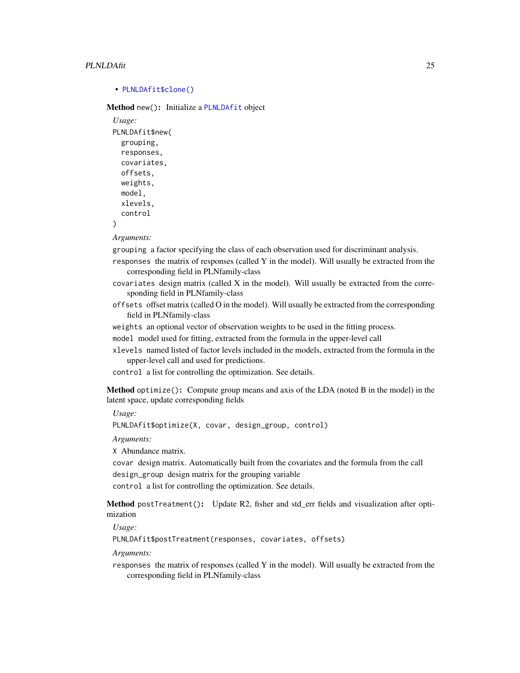#### <span id="page-24-0"></span>PLNLDAfit 25

#### • [PLNLDAfit\\$clone\(\)](#page-15-4)

Method new(): Initialize a [PLNLDAfit](#page-23-1) object

```
Usage:
PLNLDAfit$new(
  grouping,
  responses,
  covariates,
 offsets,
 weights,
 model,
  xlevels,
  control
)
```
*Arguments:*

grouping a factor specifying the class of each observation used for discriminant analysis.

responses the matrix of responses (called Y in the model). Will usually be extracted from the corresponding field in PLNfamily-class

covariates design matrix (called X in the model). Will usually be extracted from the corresponding field in PLNfamily-class

- offsets offset matrix (called O in the model). Will usually be extracted from the corresponding field in PLNfamily-class
- weights an optional vector of observation weights to be used in the fitting process.

model model used for fitting, extracted from the formula in the upper-level call

xlevels named listed of factor levels included in the models, extracted from the formula in the upper-level call and used for predictions.

control a list for controlling the optimization. See details.

Method optimize(): Compute group means and axis of the LDA (noted B in the model) in the latent space, update corresponding fields

*Usage:*

```
PLNLDAfit$optimize(X, covar, design_group, control)
```
*Arguments:*

X Abundance matrix.

covar design matrix. Automatically built from the covariates and the formula from the call design\_group design matrix for the grouping variable

control a list for controlling the optimization. See details.

Method postTreatment(): Update R2, fisher and std\_err fields and visualization after optimization

*Usage:*

PLNLDAfit\$postTreatment(responses, covariates, offsets)

*Arguments:*

responses the matrix of responses (called Y in the model). Will usually be extracted from the corresponding field in PLNfamily-class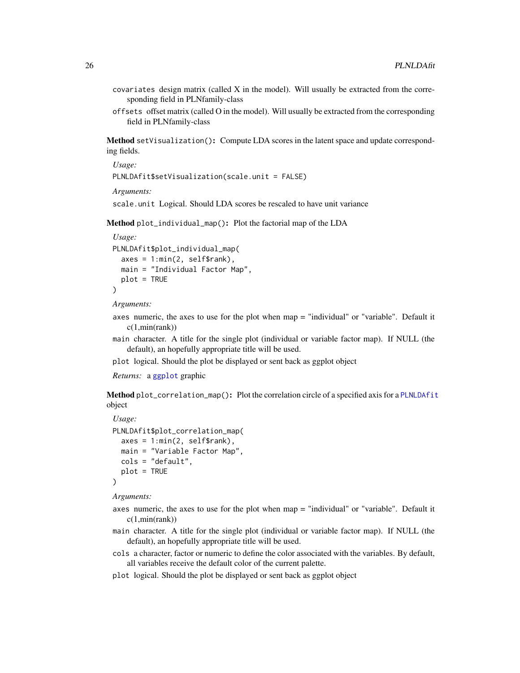- <span id="page-25-3"></span> $covariates$  design matrix (called  $X$  in the model). Will usually be extracted from the corresponding field in PLNfamily-class
- offsets offset matrix (called O in the model). Will usually be extracted from the corresponding field in PLNfamily-class

<span id="page-25-0"></span>Method setVisualization(): Compute LDA scores in the latent space and update corresponding fields.

*Usage:*

```
PLNLDAfit$setVisualization(scale.unit = FALSE)
```
*Arguments:*

scale.unit Logical. Should LDA scores be rescaled to have unit variance

<span id="page-25-1"></span>Method plot\_individual\_map(): Plot the factorial map of the LDA

```
Usage:
PLNLDAfit$plot_individual_map(
  axes = 1: min(2, self$rank),main = "Individual Factor Map",
 plot = TRUE
)
```
*Arguments:*

- axes numeric, the axes to use for the plot when map = "individual" or "variable". Default it  $c(1, min(rank))$
- main character. A title for the single plot (individual or variable factor map). If NULL (the default), an hopefully appropriate title will be used.
- plot logical. Should the plot be displayed or sent back as ggplot object

*Returns:* a [ggplot](#page-0-0) graphic

<span id="page-25-2"></span>Method plot\_correlation\_map(): Plot the correlation circle of a specified axis for a [PLNLDAfit](#page-23-1) object

```
Usage:
PLNLDAfit$plot_correlation_map(
 axes = 1: min(2, self$rank),main = "Variable Factor Map",
 cols = "default",
 plot = TRUE
)
```
*Arguments:*

- axes numeric, the axes to use for the plot when map = "individual" or "variable". Default it c(1,min(rank))
- main character. A title for the single plot (individual or variable factor map). If NULL (the default), an hopefully appropriate title will be used.
- cols a character, factor or numeric to define the color associated with the variables. By default, all variables receive the default color of the current palette.
- plot logical. Should the plot be displayed or sent back as ggplot object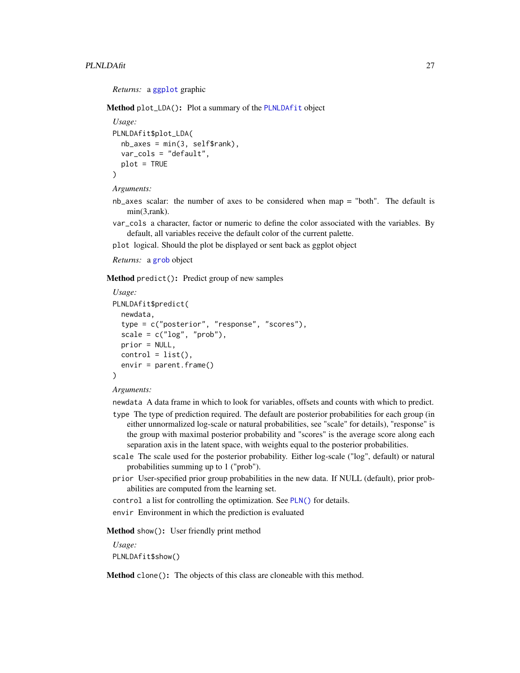#### <span id="page-26-1"></span>PLNLDAfit 27

*Returns:* a [ggplot](#page-0-0) graphic

<span id="page-26-0"></span>Method plot\_LDA(): Plot a summary of the [PLNLDAfit](#page-23-1) object

```
Usage:
PLNLDAfit$plot_LDA(
  nb\_\nexists x \in min(3, self\var_cols = "default",
  plot = TRUE
)
```
*Arguments:*

- nb\_axes scalar: the number of axes to be considered when map = "both". The default is min(3,rank).
- var\_cols a character, factor or numeric to define the color associated with the variables. By default, all variables receive the default color of the current palette.
- plot logical. Should the plot be displayed or sent back as ggplot object
- *Returns:* a [grob](#page-0-0) object

Method predict(): Predict group of new samples

```
Usage:
PLNLDAfit$predict(
  newdata,
  type = c("posterior", "response", "scores"),
  scale = c("log", "prob"),prior = NULL,
 control = list(),envir = parent.frame()
)
```
#### *Arguments:*

newdata A data frame in which to look for variables, offsets and counts with which to predict.

- type The type of prediction required. The default are posterior probabilities for each group (in either unnormalized log-scale or natural probabilities, see "scale" for details), "response" is the group with maximal posterior probability and "scores" is the average score along each separation axis in the latent space, with weights equal to the posterior probabilities.
- scale The scale used for the posterior probability. Either log-scale ("log", default) or natural probabilities summing up to 1 ("prob").
- prior User-specified prior group probabilities in the new data. If NULL (default), prior probabilities are computed from the learning set.
- control a list for controlling the optimization. See [PLN\(\)](#page-11-1) for details.

envir Environment in which the prediction is evaluated

Method show(): User friendly print method

*Usage:*

PLNLDAfit\$show()

Method clone(): The objects of this class are cloneable with this method.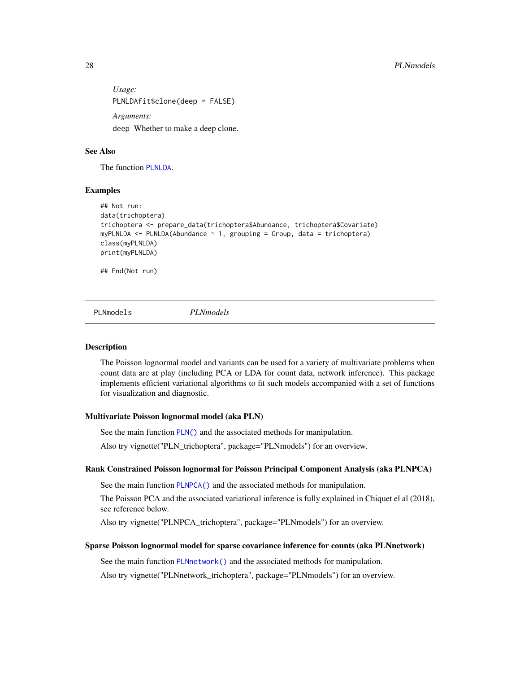<span id="page-27-0"></span>*Usage:* PLNLDAfit\$clone(deep = FALSE) *Arguments:* deep Whether to make a deep clone.

### See Also

The function [PLNLDA](#page-21-1).

#### Examples

```
## Not run:
data(trichoptera)
trichoptera <- prepare_data(trichoptera$Abundance, trichoptera$Covariate)
myPLNLDA <- PLNLDA(Abundance ~ 1, grouping = Group, data = trichoptera)
class(myPLNLDA)
print(myPLNLDA)
```
## End(Not run)

PLNmodels *PLNmodels*

#### Description

The Poisson lognormal model and variants can be used for a variety of multivariate problems when count data are at play (including PCA or LDA for count data, network inference). This package implements efficient variational algorithms to fit such models accompanied with a set of functions for visualization and diagnostic.

#### Multivariate Poisson lognormal model (aka PLN)

See the main function [PLN\(\)](#page-11-1) and the associated methods for manipulation.

Also try vignette("PLN\_trichoptera", package="PLNmodels") for an overview.

#### Rank Constrained Poisson lognormal for Poisson Principal Component Analysis (aka PLNPCA)

See the main function [PLNPCA\(\)](#page-37-1) and the associated methods for manipulation.

The Poisson PCA and the associated variational inference is fully explained in Chiquet el al (2018), see reference below.

Also try vignette("PLNPCA\_trichoptera", package="PLNmodels") for an overview.

#### Sparse Poisson lognormal model for sparse covariance inference for counts (aka PLNnetwork)

See the main function [PLNnetwork\(\)](#page-28-1) and the associated methods for manipulation.

Also try vignette("PLNnetwork\_trichoptera", package="PLNmodels") for an overview.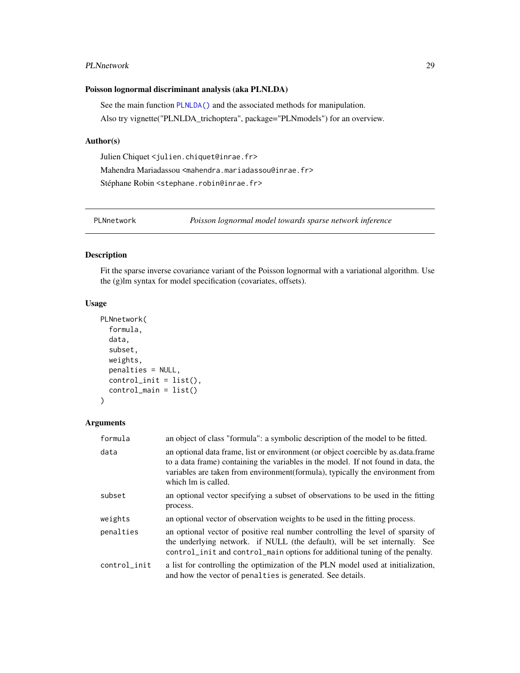#### <span id="page-28-0"></span>PLNnetwork 29

### Poisson lognormal discriminant analysis (aka PLNLDA)

See the main function [PLNLDA\(\)](#page-21-1) and the associated methods for manipulation. Also try vignette("PLNLDA\_trichoptera", package="PLNmodels") for an overview.

#### Author(s)

Julien Chiquet <julien.chiquet@inrae.fr> Mahendra Mariadassou <mahendra.mariadassou@inrae.fr> Stéphane Robin <stephane.robin@inrae.fr>

<span id="page-28-1"></span>PLNnetwork *Poisson lognormal model towards sparse network inference*

### Description

Fit the sparse inverse covariance variant of the Poisson lognormal with a variational algorithm. Use the (g)lm syntax for model specification (covariates, offsets).

### Usage

```
PLNnetwork(
  formula,
  data,
  subset,
  weights,
 penalties = NULL,
  control\_init = list(),control_main = list()
)
```
#### Arguments

| formula      | an object of class "formula": a symbolic description of the model to be fitted.                                                                                                                                                                                                 |
|--------------|---------------------------------------------------------------------------------------------------------------------------------------------------------------------------------------------------------------------------------------------------------------------------------|
| data         | an optional data frame, list or environment (or object coercible by as data frame<br>to a data frame) containing the variables in the model. If not found in data, the<br>variables are taken from environment (formula), typically the environment from<br>which lm is called. |
| subset       | an optional vector specifying a subset of observations to be used in the fitting<br>process.                                                                                                                                                                                    |
| weights      | an optional vector of observation weights to be used in the fitting process.                                                                                                                                                                                                    |
| penalties    | an optional vector of positive real number controlling the level of sparsity of<br>the underlying network. if NULL (the default), will be set internally. See<br>control_init and control_main options for additional tuning of the penalty.                                    |
| control_init | a list for controlling the optimization of the PLN model used at initialization,<br>and how the vector of penalties is generated. See details.                                                                                                                                  |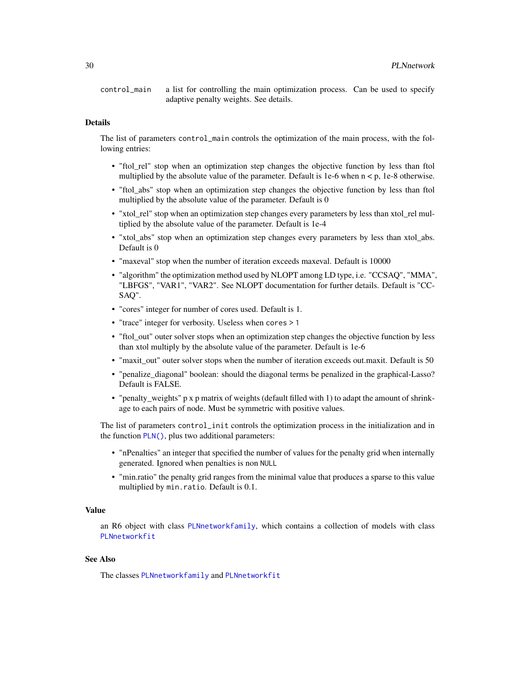<span id="page-29-0"></span>control\_main a list for controlling the main optimization process. Can be used to specify adaptive penalty weights. See details.

### Details

The list of parameters control\_main controls the optimization of the main process, with the following entries:

- "ftol\_rel" stop when an optimization step changes the objective function by less than ftol multiplied by the absolute value of the parameter. Default is 1e-6 when  $n < p$ , 1e-8 otherwise.
- "ftol\_abs" stop when an optimization step changes the objective function by less than ftol multiplied by the absolute value of the parameter. Default is 0
- "xtol\_rel" stop when an optimization step changes every parameters by less than xtol\_rel multiplied by the absolute value of the parameter. Default is 1e-4
- "xtol abs" stop when an optimization step changes every parameters by less than xtol abs. Default is 0
- "maxeval" stop when the number of iteration exceeds maxeval. Default is 10000
- "algorithm" the optimization method used by NLOPT among LD type, i.e. "CCSAQ", "MMA", "LBFGS", "VAR1", "VAR2". See NLOPT documentation for further details. Default is "CC-SAQ".
- "cores" integer for number of cores used. Default is 1.
- "trace" integer for verbosity. Useless when cores > 1
- "ftol\_out" outer solver stops when an optimization step changes the objective function by less than xtol multiply by the absolute value of the parameter. Default is 1e-6
- "maxit\_out" outer solver stops when the number of iteration exceeds out.maxit. Default is 50
- "penalize\_diagonal" boolean: should the diagonal terms be penalized in the graphical-Lasso? Default is FALSE.
- "penalty weights" p x p matrix of weights (default filled with 1) to adapt the amount of shrinkage to each pairs of node. Must be symmetric with positive values.

The list of parameters control\_init controls the optimization process in the initialization and in the function  $PLN()$ , plus two additional parameters:

- "nPenalties" an integer that specified the number of values for the penalty grid when internally generated. Ignored when penalties is non NULL
- "min.ratio" the penalty grid ranges from the minimal value that produces a sparse to this value multiplied by min.ratio. Default is 0.1.

### Value

an R6 object with class [PLNnetworkfamily](#page-30-1), which contains a collection of models with class [PLNnetworkfit](#page-33-1)

### See Also

The classes [PLNnetworkfamily](#page-30-1) and [PLNnetworkfit](#page-33-1)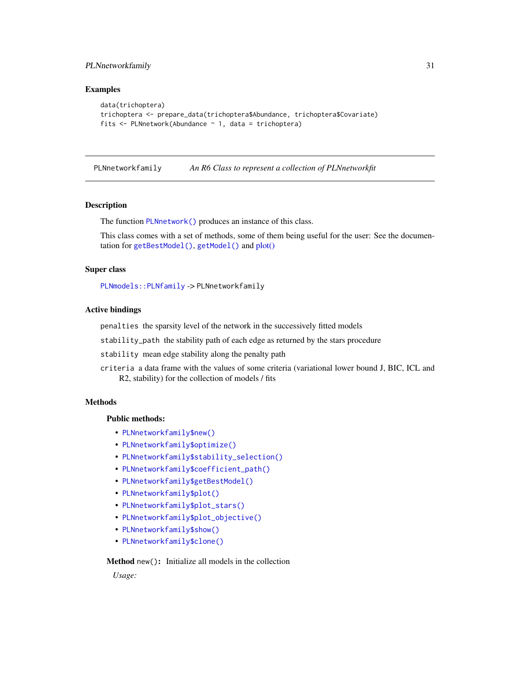### <span id="page-30-0"></span>PLNnetworkfamily 31

### Examples

```
data(trichoptera)
trichoptera <- prepare_data(trichoptera$Abundance, trichoptera$Covariate)
fits <- PLNnetwork(Abundance ~ 1, data = trichoptera)
```
<span id="page-30-1"></span>PLNnetworkfamily *An R6 Class to represent a collection of PLNnetworkfit*

### Description

The function [PLNnetwork\(\)](#page-28-1) produces an instance of this class.

This class comes with a set of methods, some of them being useful for the user: See the documentation for [getBestModel\(\)](#page-8-1), [getModel\(\)](#page-9-1) and [plot\(\)](#page-47-1)

#### Super class

[PLNmodels::PLNfamily](#page-0-0) -> PLNnetworkfamily

#### Active bindings

penalties the sparsity level of the network in the successively fitted models

stability\_path the stability path of each edge as returned by the stars procedure

stability mean edge stability along the penalty path

criteria a data frame with the values of some criteria (variational lower bound J, BIC, ICL and R2, stability) for the collection of models / fits

### **Methods**

### Public methods:

- [PLNnetworkfamily\\$new\(\)](#page-14-0)
- [PLNnetworkfamily\\$optimize\(\)](#page-18-0)
- [PLNnetworkfamily\\$stability\\_selection\(\)](#page-31-0)
- [PLNnetworkfamily\\$coefficient\\_path\(\)](#page-31-1)
- [PLNnetworkfamily\\$getBestModel\(\)](#page-32-0)
- [PLNnetworkfamily\\$plot\(\)](#page-14-3)
- [PLNnetworkfamily\\$plot\\_stars\(\)](#page-32-1)
- [PLNnetworkfamily\\$plot\\_objective\(\)](#page-33-2)
- [PLNnetworkfamily\\$show\(\)](#page-15-2)
- [PLNnetworkfamily\\$clone\(\)](#page-15-4)

### Method new(): Initialize all models in the collection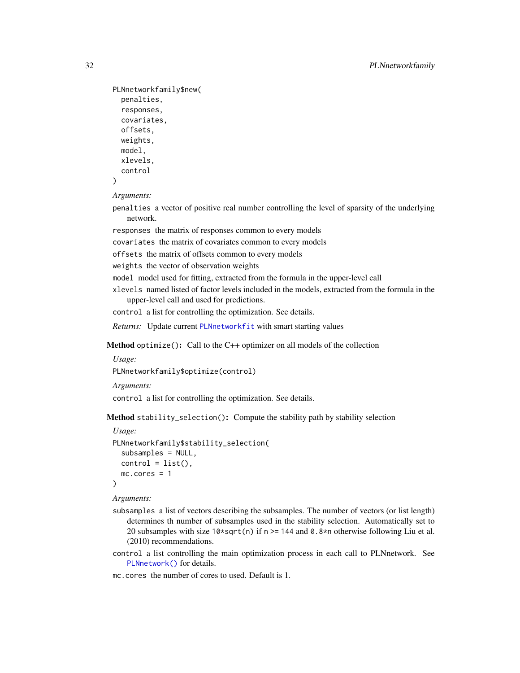```
PLNnetworkfamily$new(
 penalties,
  responses,
  covariates,
  offsets,
 weights,
 model,
  xlevels,
  control
)
```
*Arguments:*

penalties a vector of positive real number controlling the level of sparsity of the underlying network.

responses the matrix of responses common to every models

covariates the matrix of covariates common to every models

offsets the matrix of offsets common to every models

weights the vector of observation weights

model model used for fitting, extracted from the formula in the upper-level call

xlevels named listed of factor levels included in the models, extracted from the formula in the upper-level call and used for predictions.

control a list for controlling the optimization. See details.

*Returns:* Update current [PLNnetworkfit](#page-33-1) with smart starting values

Method optimize(): Call to the C++ optimizer on all models of the collection

```
Usage:
```
PLNnetworkfamily\$optimize(control)

*Arguments:*

control a list for controlling the optimization. See details.

<span id="page-31-0"></span>Method stability\_selection(): Compute the stability path by stability selection

```
Usage:
PLNnetworkfamily$stability_selection(
  subsamples = NULL,
  control = list(),mc.cores = 1
)
```
*Arguments:*

- subsamples a list of vectors describing the subsamples. The number of vectors (or list length) determines th number of subsamples used in the stability selection. Automatically set to 20 subsamples with size  $10*sqrt(n)$  if n >= 144 and 0.8\*n otherwise following Liu et al. (2010) recommendations.
- control a list controlling the main optimization process in each call to PLNnetwork. See [PLNnetwork\(\)](#page-28-1) for details.
- <span id="page-31-1"></span>mc.cores the number of cores to used. Default is 1.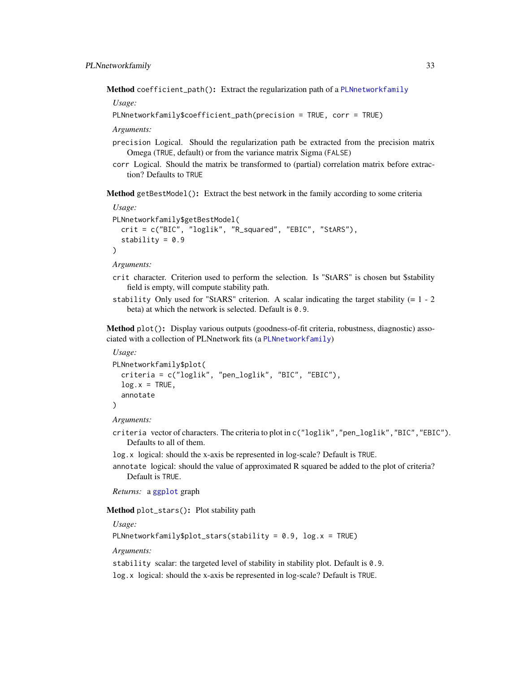<span id="page-32-2"></span>Method coefficient\_path(): Extract the regularization path of a [PLNnetworkfamily](#page-30-1)

*Usage:*

```
PLNnetworkfamily$coefficient_path(precision = TRUE, corr = TRUE)
```
*Arguments:*

- precision Logical. Should the regularization path be extracted from the precision matrix Omega (TRUE, default) or from the variance matrix Sigma (FALSE)
- corr Logical. Should the matrix be transformed to (partial) correlation matrix before extraction? Defaults to TRUE

<span id="page-32-0"></span>Method getBestModel(): Extract the best network in the family according to some criteria

```
Usage:
PLNnetworkfamily$getBestModel(
  crit = c("BIC", "loglik", "R_squared", "EBIC", "StARS"),
  stability = 0.9\lambda
```
*Arguments:*

- crit character. Criterion used to perform the selection. Is "StARS" is chosen but \$stability field is empty, will compute stability path.
- stability Only used for "StARS" criterion. A scalar indicating the target stability  $(= 1 2)$ beta) at which the network is selected. Default is 0.9.

Method plot(): Display various outputs (goodness-of-fit criteria, robustness, diagnostic) associated with a collection of PLNnetwork fits (a [PLNnetworkfamily](#page-30-1))

```
Usage:
PLNnetworkfamily$plot(
  criteria = c("loglik", "pen_loglik", "BIC", "EBIC"),
  log.x = TRUE,annotate
\lambda
```
*Arguments:*

criteria vector of characters. The criteria to plot in c("loglik", "pen\_loglik", "BIC", "EBIC"). Defaults to all of them.

log.x logical: should the x-axis be represented in log-scale? Default is TRUE.

annotate logical: should the value of approximated R squared be added to the plot of criteria? Default is TRUE.

*Returns:* a [ggplot](#page-0-0) graph

<span id="page-32-1"></span>Method plot\_stars(): Plot stability path

*Usage:*

PLNnetworkfamily\$plot\_stars(stability =  $0.9$ , log.x = TRUE)

*Arguments:*

stability scalar: the targeted level of stability in stability plot. Default is 0.9. log.x logical: should the x-axis be represented in log-scale? Default is TRUE.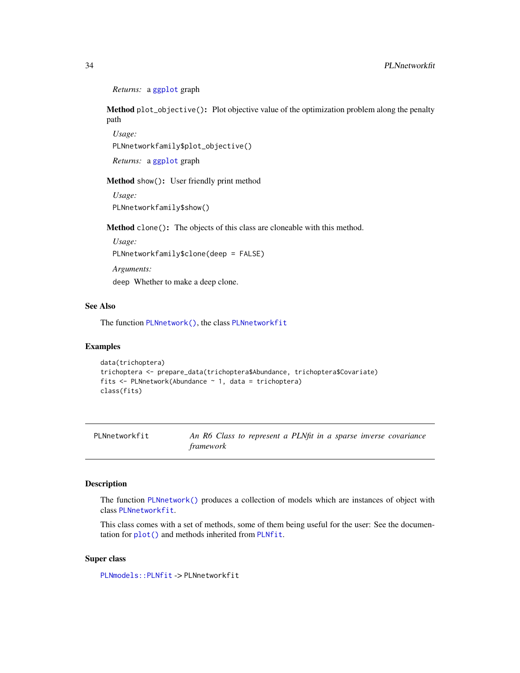```
Returns: a ggplot graph
```
<span id="page-33-2"></span>Method plot\_objective(): Plot objective value of the optimization problem along the penalty path

*Usage:* PLNnetworkfamily\$plot\_objective()

*Returns:* a [ggplot](#page-0-0) graph

Method show(): User friendly print method

*Usage:* PLNnetworkfamily\$show()

Method clone(): The objects of this class are cloneable with this method.

*Usage:* PLNnetworkfamily\$clone(deep = FALSE) *Arguments:*

deep Whether to make a deep clone.

### See Also

The function [PLNnetwork\(\)](#page-28-1), the class [PLNnetworkfit](#page-33-1)

### Examples

```
data(trichoptera)
trichoptera <- prepare_data(trichoptera$Abundance, trichoptera$Covariate)
fits \leq PLNnetwork(Abundance \sim 1, data = trichoptera)
class(fits)
```
<span id="page-33-1"></span>PLNnetworkfit *An R6 Class to represent a PLNfit in a sparse inverse covariance framework*

#### Description

The function [PLNnetwork\(\)](#page-28-1) produces a collection of models which are instances of object with class [PLNnetworkfit](#page-33-1).

This class comes with a set of methods, some of them being useful for the user: See the documentation for [plot\(\)](#page-48-1) and methods inherited from [PLNfit](#page-15-1).

### Super class

[PLNmodels::PLNfit](#page-0-0) -> PLNnetworkfit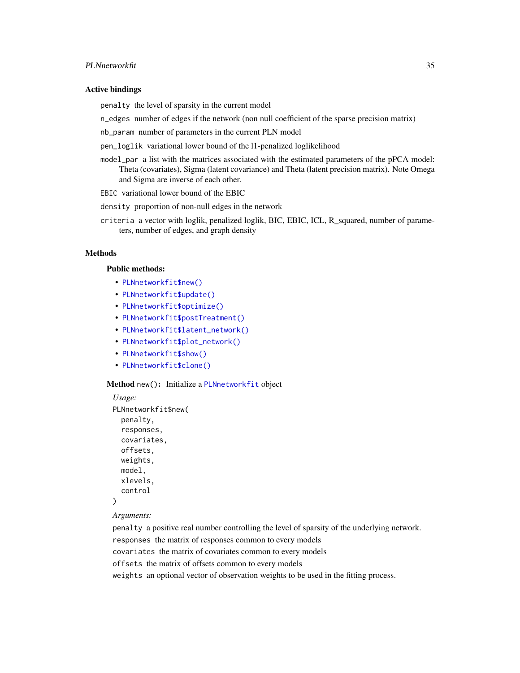### <span id="page-34-0"></span>PLNnetworkfit 35

#### Active bindings

penalty the level of sparsity in the current model

n\_edges number of edges if the network (non null coefficient of the sparse precision matrix)

nb\_param number of parameters in the current PLN model

pen\_loglik variational lower bound of the l1-penalized loglikelihood

model\_par a list with the matrices associated with the estimated parameters of the pPCA model: Theta (covariates), Sigma (latent covariance) and Theta (latent precision matrix). Note Omega and Sigma are inverse of each other.

EBIC variational lower bound of the EBIC

density proportion of non-null edges in the network

criteria a vector with loglik, penalized loglik, BIC, EBIC, ICL, R\_squared, number of parameters, number of edges, and graph density

#### Methods

#### Public methods:

- [PLNnetworkfit\\$new\(\)](#page-14-0)
- [PLNnetworkfit\\$update\(\)](#page-17-0)
- [PLNnetworkfit\\$optimize\(\)](#page-18-0)
- [PLNnetworkfit\\$postTreatment\(\)](#page-14-1)
- [PLNnetworkfit\\$latent\\_network\(\)](#page-36-0)
- [PLNnetworkfit\\$plot\\_network\(\)](#page-36-1)
- [PLNnetworkfit\\$show\(\)](#page-15-2)
- [PLNnetworkfit\\$clone\(\)](#page-15-4)

Method new(): Initialize a [PLNnetworkfit](#page-33-1) object

```
Usage:
PLNnetworkfit$new(
 penalty,
  responses,
  covariates,
 offsets,
 weights,
 model,
  xlevels,
  control
)
```
#### *Arguments:*

penalty a positive real number controlling the level of sparsity of the underlying network. responses the matrix of responses common to every models covariates the matrix of covariates common to every models offsets the matrix of offsets common to every models weights an optional vector of observation weights to be used in the fitting process.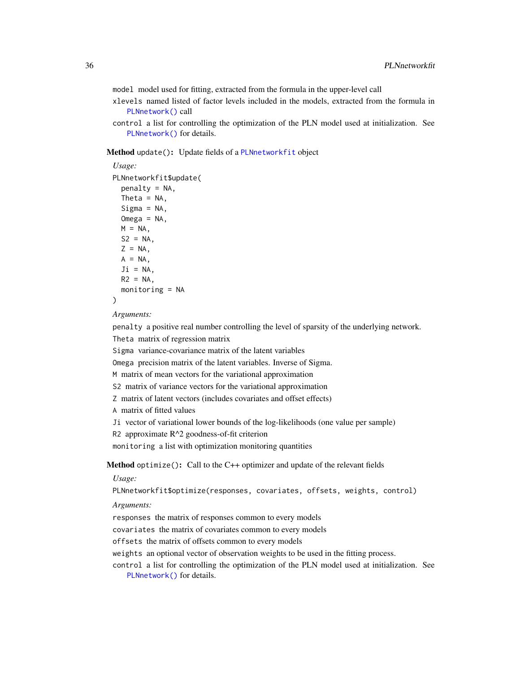<span id="page-35-0"></span>model model used for fitting, extracted from the formula in the upper-level call

- xlevels named listed of factor levels included in the models, extracted from the formula in [PLNnetwork\(\)](#page-28-1) call
- control a list for controlling the optimization of the PLN model used at initialization. See [PLNnetwork\(\)](#page-28-1) for details.

### Method update(): Update fields of a [PLNnetworkfit](#page-33-1) object

```
Usage:
PLNnetworkfit$update(
  penalty = NA,
  Theta = NA,
  Sigma = NA,
 Omega = NA,
 M = NA,
 S2 = NA,
 Z = NA,
 A = NA,
  Ji = NA,
 R2 = NA,
  monitoring = NA
```

```
)
```
*Arguments:*

penalty a positive real number controlling the level of sparsity of the underlying network.

Theta matrix of regression matrix

Sigma variance-covariance matrix of the latent variables

Omega precision matrix of the latent variables. Inverse of Sigma.

M matrix of mean vectors for the variational approximation

```
S2 matrix of variance vectors for the variational approximation
```
Z matrix of latent vectors (includes covariates and offset effects)

A matrix of fitted values

Ji vector of variational lower bounds of the log-likelihoods (one value per sample)

R2 approximate R^2 goodness-of-fit criterion

monitoring a list with optimization monitoring quantities

Method optimize(): Call to the C++ optimizer and update of the relevant fields

*Usage:*

PLNnetworkfit\$optimize(responses, covariates, offsets, weights, control)

*Arguments:*

responses the matrix of responses common to every models

covariates the matrix of covariates common to every models

offsets the matrix of offsets common to every models

weights an optional vector of observation weights to be used in the fitting process.

control a list for controlling the optimization of the PLN model used at initialization. See [PLNnetwork\(\)](#page-28-1) for details.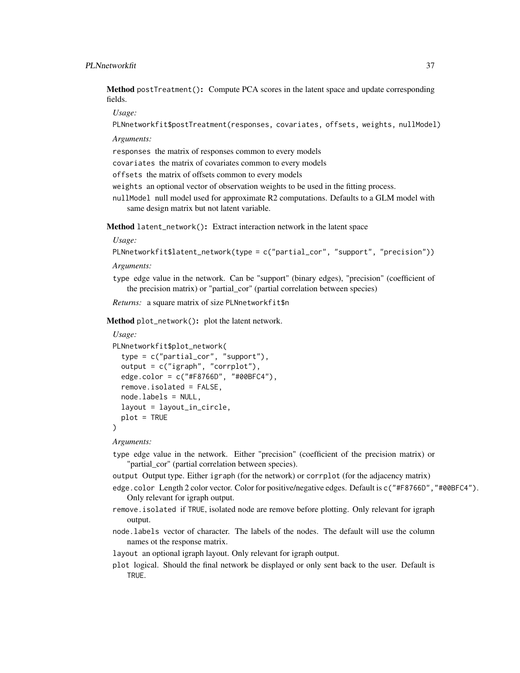Method postTreatment(): Compute PCA scores in the latent space and update corresponding fields.

*Usage:*

PLNnetworkfit\$postTreatment(responses, covariates, offsets, weights, nullModel)

*Arguments:*

responses the matrix of responses common to every models

covariates the matrix of covariates common to every models

offsets the matrix of offsets common to every models

weights an optional vector of observation weights to be used in the fitting process.

nullModel null model used for approximate R2 computations. Defaults to a GLM model with same design matrix but not latent variable.

<span id="page-36-0"></span>Method latent\_network(): Extract interaction network in the latent space

*Usage:*

PLNnetworkfit\$latent\_network(type = c("partial\_cor", "support", "precision"))

*Arguments:*

type edge value in the network. Can be "support" (binary edges), "precision" (coefficient of the precision matrix) or "partial\_cor" (partial correlation between species)

*Returns:* a square matrix of size PLNnetworkfit\$n

<span id="page-36-1"></span>Method plot\_network(): plot the latent network.

```
Usage:
PLNnetworkfit$plot_network(
  type = c("partial_cor", "support"),
  output = c("igraph", "corrplot"),
  edge.color = c("#F8766D", "#00BFC4"),
  remove.isolated = FALSE,
  node.labels = NULL,
  layout = layout_in_circle,
  plot = TRUE
)
```
*Arguments:*

type edge value in the network. Either "precision" (coefficient of the precision matrix) or "partial\_cor" (partial correlation between species).

output Output type. Either igraph (for the network) or corrplot (for the adjacency matrix)

- edge.color Length 2 color vector. Color for positive/negative edges. Default is c("#F8766D","#00BFC4"). Only relevant for igraph output.
- remove.isolated if TRUE, isolated node are remove before plotting. Only relevant for igraph output.

node.labels vector of character. The labels of the nodes. The default will use the column names ot the response matrix.

layout an optional igraph layout. Only relevant for igraph output.

plot logical. Should the final network be displayed or only sent back to the user. Default is TRUE.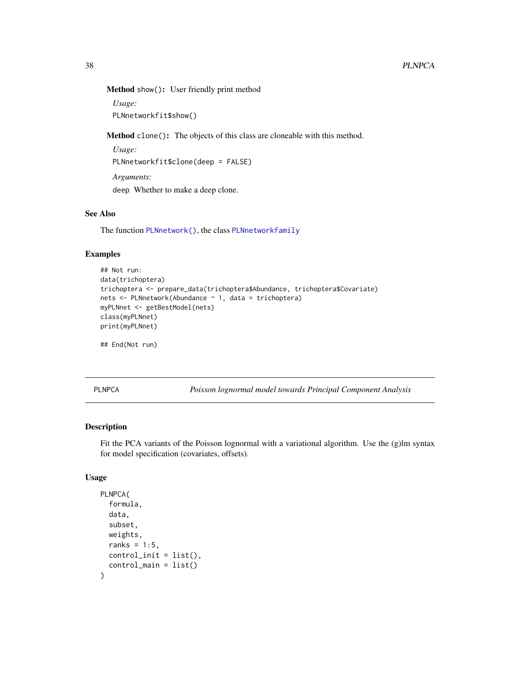<span id="page-37-0"></span>Method show(): User friendly print method

*Usage:* PLNnetworkfit\$show()

Method clone(): The objects of this class are cloneable with this method.

*Usage:* PLNnetworkfit\$clone(deep = FALSE) *Arguments:*

deep Whether to make a deep clone.

### See Also

The function [PLNnetwork\(\)](#page-28-1), the class [PLNnetworkfamily](#page-30-1)

### Examples

```
## Not run:
data(trichoptera)
trichoptera <- prepare_data(trichoptera$Abundance, trichoptera$Covariate)
nets <- PLNnetwork(Abundance ~ 1, data = trichoptera)
myPLNnet <- getBestModel(nets)
class(myPLNnet)
print(myPLNnet)
```
## End(Not run)

<span id="page-37-1"></span>PLNPCA *Poisson lognormal model towards Principal Component Analysis*

### Description

Fit the PCA variants of the Poisson lognormal with a variational algorithm. Use the (g)lm syntax for model specification (covariates, offsets).

```
PLNPCA(
  formula,
  data,
  subset,
  weights,
  ranks = 1:5,
  control_init = list(),
  control_main = list()
)
```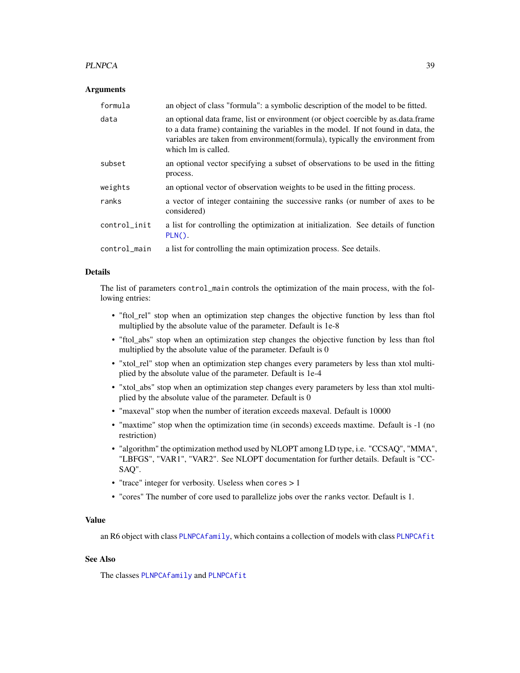### <span id="page-38-0"></span>PLNPCA 39

#### Arguments

| formula      | an object of class "formula": a symbolic description of the model to be fitted.                                                                                                                                                                                                |
|--------------|--------------------------------------------------------------------------------------------------------------------------------------------------------------------------------------------------------------------------------------------------------------------------------|
| data         | an optional data frame, list or environment (or object coercible by as data frame<br>to a data frame) containing the variables in the model. If not found in data, the<br>variables are taken from environment(formula), typically the environment from<br>which lm is called. |
| subset       | an optional vector specifying a subset of observations to be used in the fitting<br>process.                                                                                                                                                                                   |
| weights      | an optional vector of observation weights to be used in the fitting process.                                                                                                                                                                                                   |
| ranks        | a vector of integer containing the successive ranks (or number of axes to be<br>considered)                                                                                                                                                                                    |
| control_init | a list for controlling the optimization at initialization. See details of function<br>$PLN()$ .                                                                                                                                                                                |
| control_main | a list for controlling the main optimization process. See details.                                                                                                                                                                                                             |

### Details

The list of parameters control\_main controls the optimization of the main process, with the following entries:

- "ftol\_rel" stop when an optimization step changes the objective function by less than ftol multiplied by the absolute value of the parameter. Default is 1e-8
- "ftol\_abs" stop when an optimization step changes the objective function by less than ftol multiplied by the absolute value of the parameter. Default is 0
- "xtol\_rel" stop when an optimization step changes every parameters by less than xtol multiplied by the absolute value of the parameter. Default is 1e-4
- "xtol\_abs" stop when an optimization step changes every parameters by less than xtol multiplied by the absolute value of the parameter. Default is 0
- "maxeval" stop when the number of iteration exceeds maxeval. Default is 10000
- "maxtime" stop when the optimization time (in seconds) exceeds maxtime. Default is -1 (no restriction)
- "algorithm" the optimization method used by NLOPT among LD type, i.e. "CCSAQ", "MMA", "LBFGS", "VAR1", "VAR2". See NLOPT documentation for further details. Default is "CC-SAQ".
- "trace" integer for verbosity. Useless when cores > 1
- "cores" The number of core used to parallelize jobs over the ranks vector. Default is 1.

#### Value

an R6 object with class [PLNPCAfamily](#page-39-1), which contains a collection of models with class [PLNPCAfit](#page-41-1)

### See Also

The classes [PLNPCAfamily](#page-39-1) and [PLNPCAfit](#page-41-1)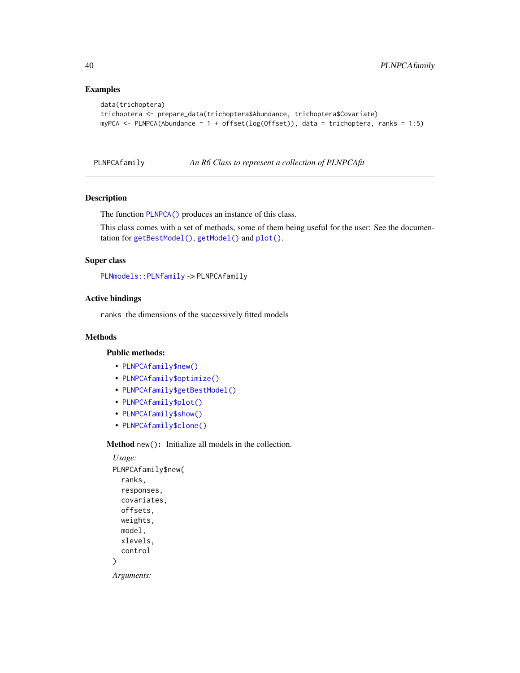### Examples

```
data(trichoptera)
trichoptera <- prepare_data(trichoptera$Abundance, trichoptera$Covariate)
myPCA \leq PLNPCA(Abundance \sim 1 + offset(log(Offset)), data = trichoptera, ranks = 1:5)
```
<span id="page-39-1"></span>PLNPCAfamily *An R6 Class to represent a collection of PLNPCAfit*

### Description

The function [PLNPCA\(\)](#page-37-1) produces an instance of this class.

This class comes with a set of methods, some of them being useful for the user: See the documentation for [getBestModel\(\)](#page-8-1), [getModel\(\)](#page-9-1) and [plot\(\)](#page-49-1).

### Super class

[PLNmodels::PLNfamily](#page-0-0) -> PLNPCAfamily

### Active bindings

ranks the dimensions of the successively fitted models

### Methods

### Public methods:

- [PLNPCAfamily\\$new\(\)](#page-14-0)
- [PLNPCAfamily\\$optimize\(\)](#page-18-0)
- [PLNPCAfamily\\$getBestModel\(\)](#page-32-0)
- [PLNPCAfamily\\$plot\(\)](#page-14-3)
- [PLNPCAfamily\\$show\(\)](#page-15-2)
- [PLNPCAfamily\\$clone\(\)](#page-15-4)

Method new(): Initialize all models in the collection.

```
Usage:
PLNPCAfamily$new(
  ranks,
  responses,
  covariates,
  offsets,
  weights,
  model,
  xlevels,
  control
)
Arguments:
```
<span id="page-39-0"></span>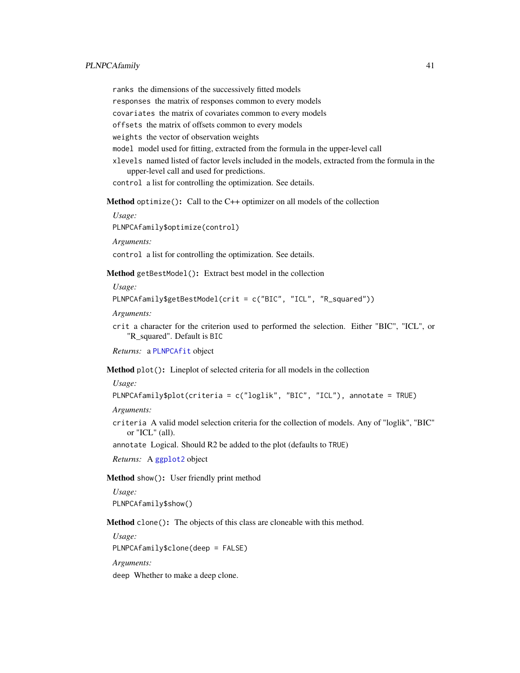<span id="page-40-0"></span>ranks the dimensions of the successively fitted models

responses the matrix of responses common to every models

covariates the matrix of covariates common to every models

offsets the matrix of offsets common to every models

weights the vector of observation weights

model model used for fitting, extracted from the formula in the upper-level call

xlevels named listed of factor levels included in the models, extracted from the formula in the upper-level call and used for predictions.

control a list for controlling the optimization. See details.

Method optimize(): Call to the C++ optimizer on all models of the collection

*Usage:*

PLNPCAfamily\$optimize(control)

*Arguments:*

control a list for controlling the optimization. See details.

Method getBestModel(): Extract best model in the collection

*Usage:*

```
PLNPCAfamily$getBestModel(crit = c("BIC", "ICL", "R_squared"))
```
*Arguments:*

crit a character for the criterion used to performed the selection. Either "BIC", "ICL", or "R\_squared". Default is BIC

*Returns:* a [PLNPCAfit](#page-41-1) object

Method plot(): Lineplot of selected criteria for all models in the collection

*Usage:*

```
PLNPCAfamily$plot(criteria = c("loglik", "BIC", "ICL"), annotate = TRUE)
```
*Arguments:*

criteria A valid model selection criteria for the collection of models. Any of "loglik", "BIC" or "ICL" (all).

annotate Logical. Should R2 be added to the plot (defaults to TRUE)

*Returns:* A [ggplot2](#page-0-0) object

Method show(): User friendly print method

*Usage:* PLNPCAfamily\$show()

Method clone(): The objects of this class are cloneable with this method.

*Usage:* PLNPCAfamily\$clone(deep = FALSE) *Arguments:*

deep Whether to make a deep clone.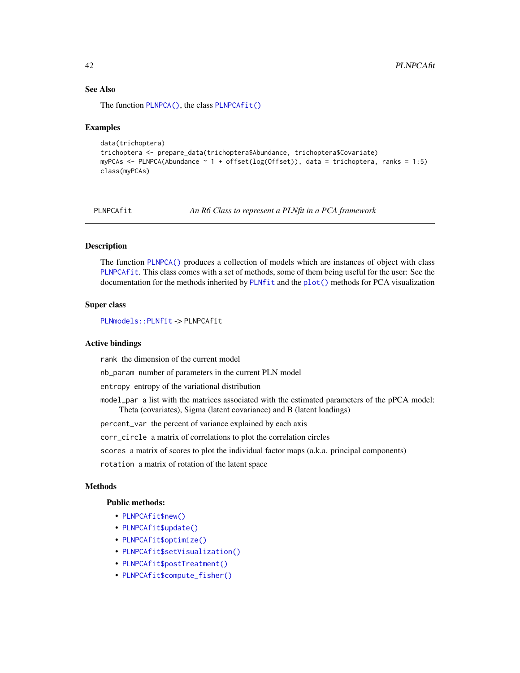### <span id="page-41-0"></span>See Also

The function [PLNPCA\(\)](#page-37-1), the class [PLNPCAfit\(\)](#page-41-1)

#### Examples

```
data(trichoptera)
trichoptera <- prepare_data(trichoptera$Abundance, trichoptera$Covariate)
myPCAs <- PLNPCA(Abundance ~ 1 + offset(log(Offset)), data = trichoptera, ranks = 1:5)
class(myPCAs)
```
<span id="page-41-1"></span>

PLNPCAfit *An R6 Class to represent a PLNfit in a PCA framework*

### Description

The function [PLNPCA\(\)](#page-37-1) produces a collection of models which are instances of object with class [PLNPCAfit](#page-41-1). This class comes with a set of methods, some of them being useful for the user: See the documentation for the methods inherited by [PLNfit](#page-15-1) and the [plot\(\)](#page-0-0) methods for PCA visualization

### Super class

[PLNmodels::PLNfit](#page-0-0) -> PLNPCAfit

### Active bindings

rank the dimension of the current model

nb\_param number of parameters in the current PLN model

entropy entropy of the variational distribution

model\_par a list with the matrices associated with the estimated parameters of the pPCA model: Theta (covariates), Sigma (latent covariance) and B (latent loadings)

percent\_var the percent of variance explained by each axis

corr\_circle a matrix of correlations to plot the correlation circles

scores a matrix of scores to plot the individual factor maps (a.k.a. principal components)

rotation a matrix of rotation of the latent space

#### Methods

#### Public methods:

- [PLNPCAfit\\$new\(\)](#page-14-0)
- [PLNPCAfit\\$update\(\)](#page-17-0)
- [PLNPCAfit\\$optimize\(\)](#page-18-0)
- [PLNPCAfit\\$setVisualization\(\)](#page-25-0)
- [PLNPCAfit\\$postTreatment\(\)](#page-14-1)
- [PLNPCAfit\\$compute\\_fisher\(\)](#page-19-1)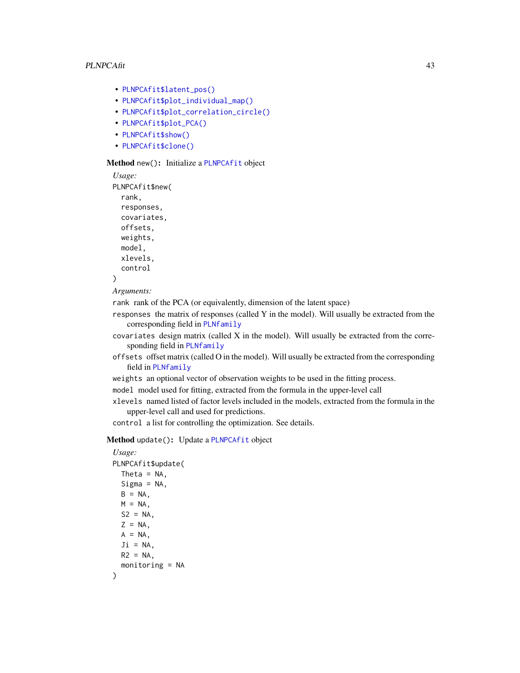- <span id="page-42-0"></span>• [PLNPCAfit\\$latent\\_pos\(\)](#page-20-0)
- [PLNPCAfit\\$plot\\_individual\\_map\(\)](#page-25-1)
- [PLNPCAfit\\$plot\\_correlation\\_circle\(\)](#page-44-0)
- [PLNPCAfit\\$plot\\_PCA\(\)](#page-45-0)
- [PLNPCAfit\\$show\(\)](#page-15-2)
- [PLNPCAfit\\$clone\(\)](#page-15-4)

#### Method new(): Initialize a [PLNPCAfit](#page-41-1) object

```
Usage:
PLNPCAfit$new(
  rank,
 responses,
 covariates,
 offsets,
 weights,
 model,
  xlevels,
  control
)
```

```
Arguments:
```
rank rank of the PCA (or equivalently, dimension of the latent space)

responses the matrix of responses (called Y in the model). Will usually be extracted from the corresponding field in [PLNfamily](#page-13-1)

- covariates design matrix (called X in the model). Will usually be extracted from the corresponding field in [PLNfamily](#page-13-1)
- offsets offset matrix (called O in the model). Will usually be extracted from the corresponding field in [PLNfamily](#page-13-1)
- weights an optional vector of observation weights to be used in the fitting process.

model model used for fitting, extracted from the formula in the upper-level call

xlevels named listed of factor levels included in the models, extracted from the formula in the upper-level call and used for predictions.

control a list for controlling the optimization. See details.

### Method update(): Update a [PLNPCAfit](#page-41-1) object

```
Usage:
PLNPCAfit$update(
  Theta = NA,
  Signa = NA,
  B = NA,
 M = NA,
  S2 = NA,
  Z = NA,
  A = NA,
  Ji = NA,
 R2 = NA,
  monitoring = NA
)
```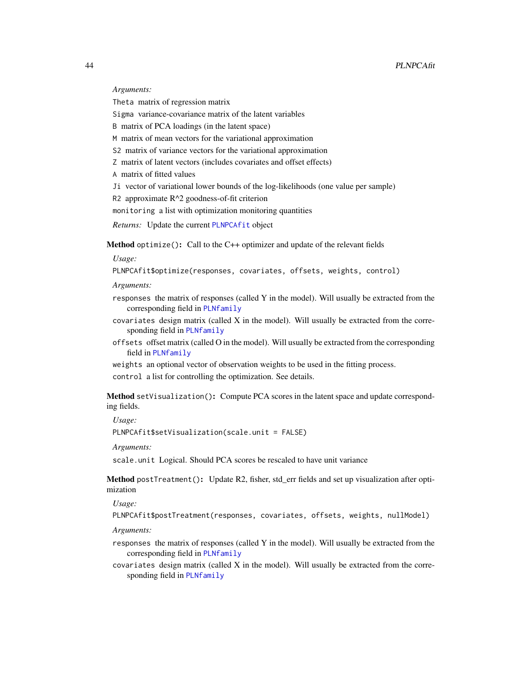#### <span id="page-43-0"></span>*Arguments:*

Theta matrix of regression matrix

Sigma variance-covariance matrix of the latent variables

B matrix of PCA loadings (in the latent space)

M matrix of mean vectors for the variational approximation

S2 matrix of variance vectors for the variational approximation

Z matrix of latent vectors (includes covariates and offset effects)

A matrix of fitted values

Ji vector of variational lower bounds of the log-likelihoods (one value per sample)

R2 approximate R^2 goodness-of-fit criterion

monitoring a list with optimization monitoring quantities

*Returns:* Update the current [PLNPCAfit](#page-41-1) object

Method optimize(): Call to the C++ optimizer and update of the relevant fields

*Usage:*

PLNPCAfit\$optimize(responses, covariates, offsets, weights, control)

*Arguments:*

- responses the matrix of responses (called Y in the model). Will usually be extracted from the corresponding field in [PLNfamily](#page-13-1)
- $covariates$  design matrix (called  $X$  in the model). Will usually be extracted from the corresponding field in [PLNfamily](#page-13-1)
- offsets offset matrix (called O in the model). Will usually be extracted from the corresponding field in [PLNfamily](#page-13-1)

weights an optional vector of observation weights to be used in the fitting process. control a list for controlling the optimization. See details.

Method setVisualization(): Compute PCA scores in the latent space and update corresponding fields.

*Usage:*

PLNPCAfit\$setVisualization(scale.unit = FALSE)

*Arguments:*

scale.unit Logical. Should PCA scores be rescaled to have unit variance

Method postTreatment(): Update R2, fisher, std\_err fields and set up visualization after optimization

*Usage:*

PLNPCAfit\$postTreatment(responses, covariates, offsets, weights, nullModel)

*Arguments:*

- responses the matrix of responses (called Y in the model). Will usually be extracted from the corresponding field in [PLNfamily](#page-13-1)
- $covariates$  design matrix (called  $X$  in the model). Will usually be extracted from the corresponding field in [PLNfamily](#page-13-1)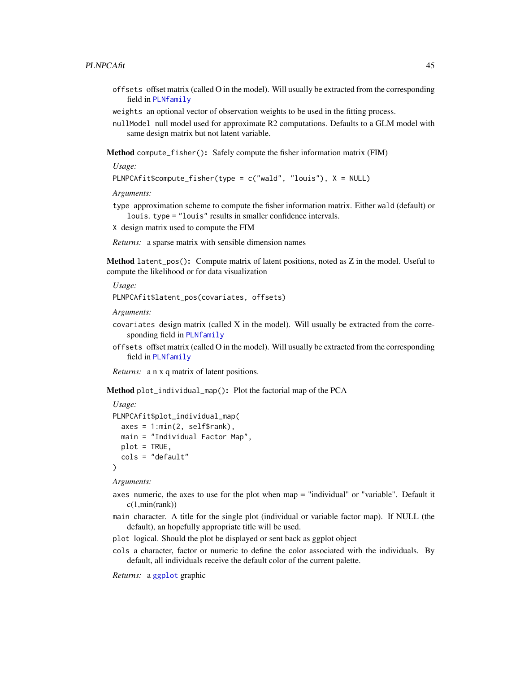- <span id="page-44-1"></span>offsets offset matrix (called O in the model). Will usually be extracted from the corresponding field in [PLNfamily](#page-13-1)
- weights an optional vector of observation weights to be used in the fitting process.
- nullModel null model used for approximate R2 computations. Defaults to a GLM model with same design matrix but not latent variable.

Method compute\_fisher(): Safely compute the fisher information matrix (FIM)

*Usage:*

PLNPCAfit\$compute\_fisher(type = c("wald", "louis"), X = NULL)

*Arguments:*

type approximation scheme to compute the fisher information matrix. Either wald (default) or louis. type = "louis" results in smaller confidence intervals.

X design matrix used to compute the FIM

*Returns:* a sparse matrix with sensible dimension names

Method latent\_pos(): Compute matrix of latent positions, noted as Z in the model. Useful to compute the likelihood or for data visualization

*Usage:*

PLNPCAfit\$latent\_pos(covariates, offsets)

*Arguments:*

- covariates design matrix (called X in the model). Will usually be extracted from the corresponding field in [PLNfamily](#page-13-1)
- offsets offset matrix (called O in the model). Will usually be extracted from the corresponding field in [PLNfamily](#page-13-1)

*Returns:* a n x q matrix of latent positions.

Method plot\_individual\_map(): Plot the factorial map of the PCA

```
Usage:
PLNPCAfit$plot_individual_map(
  axes = 1: min(2, self$rank),main = "Individual Factor Map",
 plot = TRUE,
  cols = "default"
)
```
*Arguments:*

- axes numeric, the axes to use for the plot when map = "individual" or "variable". Default it  $c(1, min(rank))$
- main character. A title for the single plot (individual or variable factor map). If NULL (the default), an hopefully appropriate title will be used.
- plot logical. Should the plot be displayed or sent back as ggplot object
- cols a character, factor or numeric to define the color associated with the individuals. By default, all individuals receive the default color of the current palette.

<span id="page-44-0"></span>*Returns:* a [ggplot](#page-0-0) graphic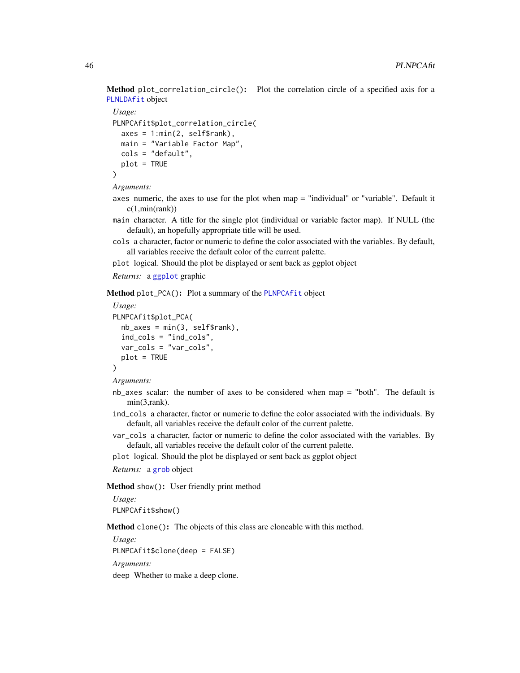<span id="page-45-1"></span>Method plot\_correlation\_circle(): Plot the correlation circle of a specified axis for a [PLNLDAfit](#page-23-1) object

```
Usage:
PLNPCAfit$plot_correlation_circle(
  axes = 1: min(2, self$rank),main = "Variable Factor Map",
  cols = "default",
  plot = TRUE
\mathcal{L}
```
*Arguments:*

- axes numeric, the axes to use for the plot when map = "individual" or "variable". Default it  $c(1, min(rank))$
- main character. A title for the single plot (individual or variable factor map). If NULL (the default), an hopefully appropriate title will be used.
- cols a character, factor or numeric to define the color associated with the variables. By default, all variables receive the default color of the current palette.
- plot logical. Should the plot be displayed or sent back as ggplot object

*Returns:* a [ggplot](#page-0-0) graphic

<span id="page-45-0"></span>Method plot\_PCA(): Plot a summary of the [PLNPCAfit](#page-41-1) object

```
Usage:
PLNPCAfit$plot_PCA(
 nb\_\text{axes} = min(3, self\ind_cols = "ind_cols",
 var_cols = "var_cols",
 plot = TRUE
)
```
*Arguments:*

- nb\_axes scalar: the number of axes to be considered when map = "both". The default is min(3,rank).
- ind\_cols a character, factor or numeric to define the color associated with the individuals. By default, all variables receive the default color of the current palette.
- var\_cols a character, factor or numeric to define the color associated with the variables. By default, all variables receive the default color of the current palette.
- plot logical. Should the plot be displayed or sent back as ggplot object

*Returns:* a [grob](#page-0-0) object

Method show(): User friendly print method

*Usage:*

PLNPCAfit\$show()

Method clone(): The objects of this class are cloneable with this method.

*Usage:*

PLNPCAfit\$clone(deep = FALSE)

*Arguments:*

deep Whether to make a deep clone.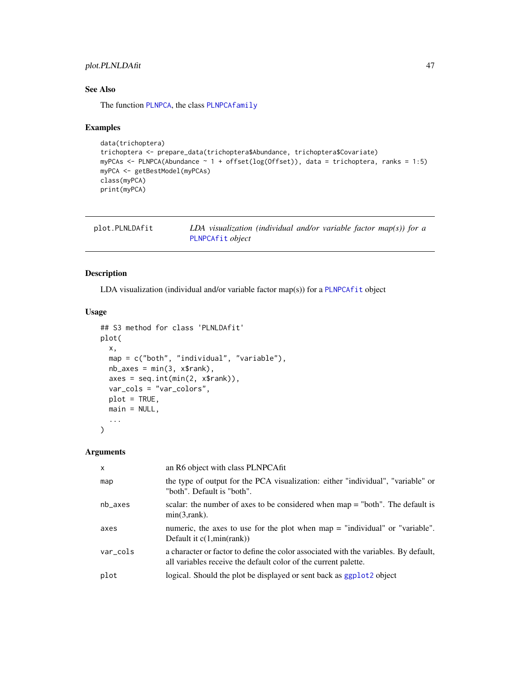### <span id="page-46-0"></span>plot.PLNLDAfit 47

### See Also

The function [PLNPCA](#page-37-1), the class [PLNPCAfamily](#page-39-1)

### Examples

```
data(trichoptera)
trichoptera <- prepare_data(trichoptera$Abundance, trichoptera$Covariate)
myPCAs <- PLNPCA(Abundance ~ 1 + offset(log(Offset)), data = trichoptera, ranks = 1:5)
myPCA <- getBestModel(myPCAs)
class(myPCA)
print(myPCA)
```

| plot.PLNLDAfit | LDA visualization (individual and/or variable factor map(s)) for a |
|----------------|--------------------------------------------------------------------|
|                | PLNPCAfit object                                                   |

### Description

LDA visualization (individual and/or variable factor map(s)) for a [PLNPCAfit](#page-41-1) object

### Usage

```
## S3 method for class 'PLNLDAfit'
plot(
  x,
  map = c("both", "individual", "variable"),
  nb\_\exists x \text{ es } = min(3, x\{srank}),
  axes = seq.int(min(2, x$rank)),var_cols = "var_colors",
  plot = TRUE,
  main = NULL,
  ...
\mathcal{L}
```
#### Arguments

| $\mathsf{x}$ | an R6 object with class PLNPCAfit                                                                                                                       |
|--------------|---------------------------------------------------------------------------------------------------------------------------------------------------------|
| map          | the type of output for the PCA visualization: either "individual", "variable" or<br>"both". Default is "both".                                          |
| $nb$ axes    | scalar: the number of axes to be considered when $map = "both".$ The default is<br>$min(3, rank)$ .                                                     |
| axes         | numeric, the axes to use for the plot when $map =$ "individual" or "variable".<br>Default it $c(1, min(rank))$                                          |
| var_cols     | a character or factor to define the color associated with the variables. By default,<br>all variables receive the default color of the current palette. |
| plot         | logical. Should the plot be displayed or sent back as ggplot2 object                                                                                    |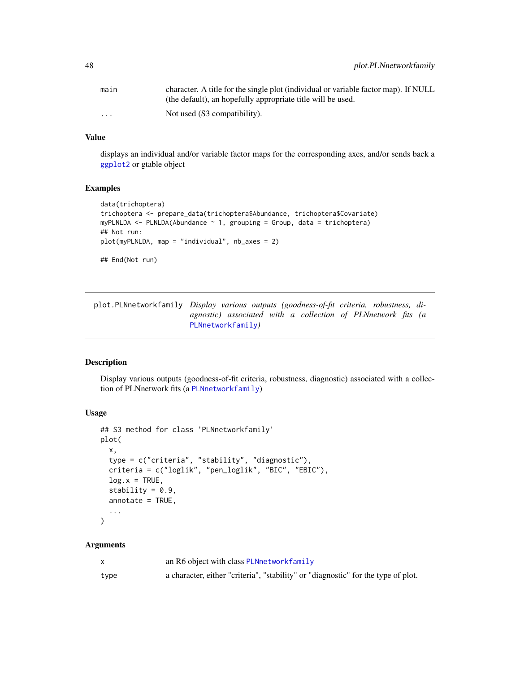<span id="page-47-0"></span>

| main                 | character. A title for the single plot (individual or variable factor map). If NULL |
|----------------------|-------------------------------------------------------------------------------------|
|                      | (the default), an hopefully appropriate title will be used.                         |
| $\ddot{\phantom{0}}$ | Not used (S3 compatibility).                                                        |

### Value

displays an individual and/or variable factor maps for the corresponding axes, and/or sends back a [ggplot2](#page-0-0) or gtable object

#### Examples

```
data(trichoptera)
trichoptera <- prepare_data(trichoptera$Abundance, trichoptera$Covariate)
myPLNLDA <- PLNLDA(Abundance ~ 1, grouping = Group, data = trichoptera)
## Not run:
plot(myPLNLDA, map = "individual", nb_axes = 2)
## End(Not run)
```
<span id="page-47-1"></span>plot.PLNnetworkfamily *Display various outputs (goodness-of-fit criteria, robustness, diagnostic) associated with a collection of PLNnetwork fits (a* [PLNnetworkfamily](#page-30-1)*)*

#### Description

Display various outputs (goodness-of-fit criteria, robustness, diagnostic) associated with a collection of PLNnetwork fits (a [PLNnetworkfamily](#page-30-1))

#### Usage

```
## S3 method for class 'PLNnetworkfamily'
plot(
  x,
  type = c("criteria", "stability", "diagnostic"),
  criteria = c("loglik", "pen_loglik", "BIC", "EBIC"),
 log.x = TRUE,stability = 0.9,
 annotate = TRUE,...
)
```
### Arguments

|      | an R6 object with class PLNnetworkfamily                                          |
|------|-----------------------------------------------------------------------------------|
| type | a character, either "criteria", "stability" or "diagnostic" for the type of plot. |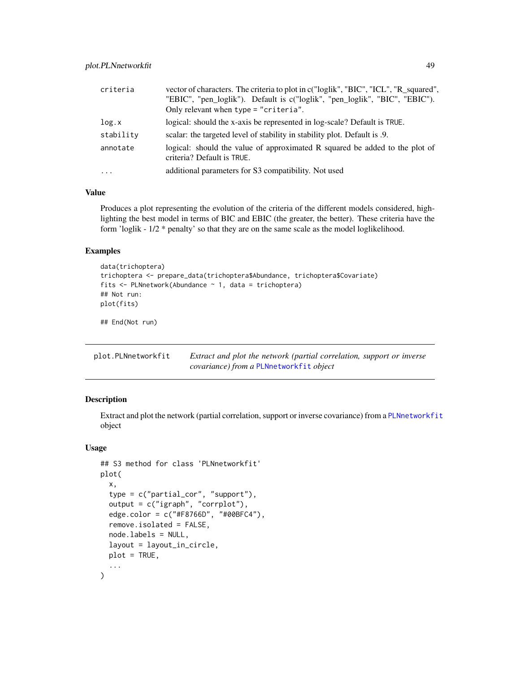<span id="page-48-0"></span>

| criteria  | vector of characters. The criteria to plot in c("loglik", "BIC", "ICL", "R_squared",<br>"EBIC", "pen_loglik"). Default is c("loglik", "pen_loglik", "BIC", "EBIC").<br>Only relevant when type $=$ "criteria". |
|-----------|----------------------------------------------------------------------------------------------------------------------------------------------------------------------------------------------------------------|
| log.x     | logical: should the x-axis be represented in log-scale? Default is TRUE.                                                                                                                                       |
| stability | scalar: the targeted level of stability in stability plot. Default is .9.                                                                                                                                      |
| annotate  | logical: should the value of approximated R squared be added to the plot of<br>criteria? Default is TRUE.                                                                                                      |
| $\cdots$  | additional parameters for S3 compatibility. Not used                                                                                                                                                           |

### Value

Produces a plot representing the evolution of the criteria of the different models considered, highlighting the best model in terms of BIC and EBIC (the greater, the better). These criteria have the form 'loglik - 1/2 \* penalty' so that they are on the same scale as the model loglikelihood.

#### Examples

```
data(trichoptera)
trichoptera <- prepare_data(trichoptera$Abundance, trichoptera$Covariate)
fits \leq PLNnetwork(Abundance \sim 1, data = trichoptera)
## Not run:
plot(fits)
## End(Not run)
```
<span id="page-48-1"></span>

| plot.PLNnetworkfit | Extract and plot the network (partial correlation, support or inverse |
|--------------------|-----------------------------------------------------------------------|
|                    | covariance) from a PLNnetworkfit object                               |

#### Description

Extract and plot the network (partial correlation, support or inverse covariance) from a [PLNnetworkfit](#page-33-1) object

```
## S3 method for class 'PLNnetworkfit'
plot(
  x,
  type = c("partial_cor", "support"),
  output = c("igraph", "corrplot"),
  edge.color = c("#F8766D", "#00BFC4"),
  remove.isolated = FALSE,
  node.labels = NULL,
  layout = layout_in_circle,
  plot = TRUE,
  ...
)
```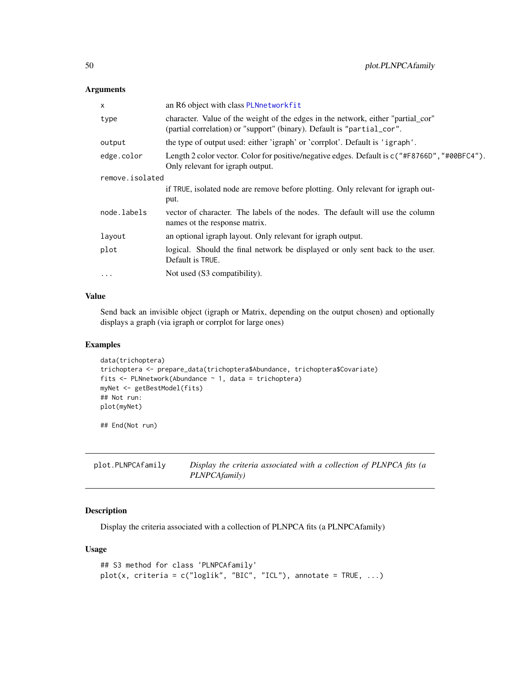### <span id="page-49-0"></span>Arguments

| X               | an R6 object with class PLNnetworkfit                                                                                                                      |  |
|-----------------|------------------------------------------------------------------------------------------------------------------------------------------------------------|--|
| type            | character. Value of the weight of the edges in the network, either "partial_cor"<br>(partial correlation) or "support" (binary). Default is "partial_cor". |  |
| output          | the type of output used: either 'igraph' or 'corrplot'. Default is 'igraph'.                                                                               |  |
| edge.color      | Length 2 color vector. Color for positive/negative edges. Default is $c("#F8766D", "#0@BFC4")$ .<br>Only relevant for igraph output.                       |  |
| remove.isolated |                                                                                                                                                            |  |
|                 | if TRUE, isolated node are remove before plotting. Only relevant for igraph out-<br>put.                                                                   |  |
| node.labels     | vector of character. The labels of the nodes. The default will use the column<br>names of the response matrix.                                             |  |
| layout          | an optional igraph layout. Only relevant for igraph output.                                                                                                |  |
| plot            | logical. Should the final network be displayed or only sent back to the user.<br>Default is TRUE.                                                          |  |
| $\cdots$        | Not used (S3 compatibility).                                                                                                                               |  |
|                 |                                                                                                                                                            |  |

### Value

Send back an invisible object (igraph or Matrix, depending on the output chosen) and optionally displays a graph (via igraph or corrplot for large ones)

### Examples

```
data(trichoptera)
trichoptera <- prepare_data(trichoptera$Abundance, trichoptera$Covariate)
fits <- PLNnetwork(Abundance ~ 1, data = trichoptera)
myNet <- getBestModel(fits)
## Not run:
plot(myNet)
```
## End(Not run)

<span id="page-49-1"></span>

| plot.PLNPCAfamily | Display the criteria associated with a collection of PLNPCA fits (a |
|-------------------|---------------------------------------------------------------------|
|                   | <i>PLNPCAfamily</i> )                                               |

### Description

Display the criteria associated with a collection of PLNPCA fits (a PLNPCAfamily)

```
## S3 method for class 'PLNPCAfamily'
plot(x, criteria = c("loglik", "BIC", "ICL"), annotate = TRUE, ...)
```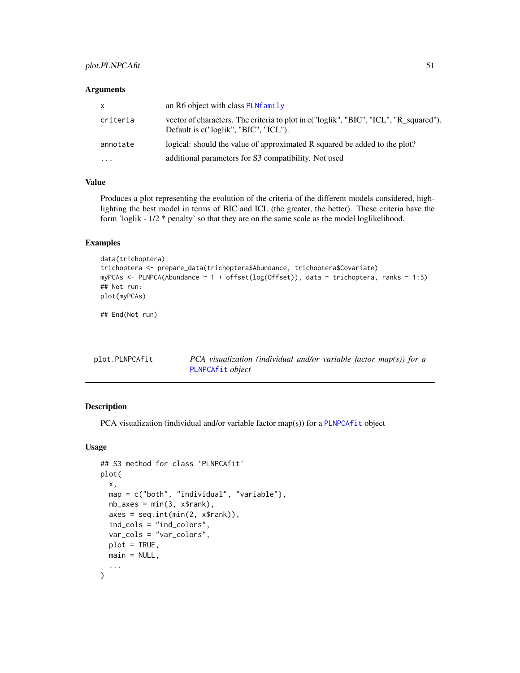### <span id="page-50-0"></span>plot.PLNPCAfit 51

#### **Arguments**

| X        | an R6 object with class PLNfamily                                                                                              |
|----------|--------------------------------------------------------------------------------------------------------------------------------|
| criteria | vector of characters. The criteria to plot in c("loglik", "BIC", "ICL", "R_squared").<br>Default is c("loglik", "BIC", "ICL"). |
| annotate | logical: should the value of approximated R squared be added to the plot?                                                      |
| $\cdots$ | additional parameters for S3 compatibility. Not used                                                                           |

### Value

Produces a plot representing the evolution of the criteria of the different models considered, highlighting the best model in terms of BIC and ICL (the greater, the better). These criteria have the form 'loglik - 1/2 \* penalty' so that they are on the same scale as the model loglikelihood.

### Examples

```
data(trichoptera)
trichoptera <- prepare_data(trichoptera$Abundance, trichoptera$Covariate)
myPCAs <- PLNPCA(Abundance \sim 1 + \text{offset}(\log(\text{Offset})), data = trichoptera, ranks = 1:5)
## Not run:
plot(myPCAs)
```
## End(Not run)

| plot.PLNPCAfit | PCA visualization (individual and/or variable factor map(s)) for a |
|----------------|--------------------------------------------------------------------|
|                | PLNPCAfit object                                                   |

### Description

PCA visualization (individual and/or variable factor map(s)) for a [PLNPCAfit](#page-41-1) object

```
## S3 method for class 'PLNPCAfit'
plot(
  x,
  map = c("both", "individual", "variable"),
  nb\_\exists x \text{ es } = \text{min}(3, x\text{srank}),axes = seq.int(min(2, x$rank)),ind_cols = "ind_colors",
  var_cols = "var_colors",
  plot = TRUE,
  main = NULL,
  ...
)
```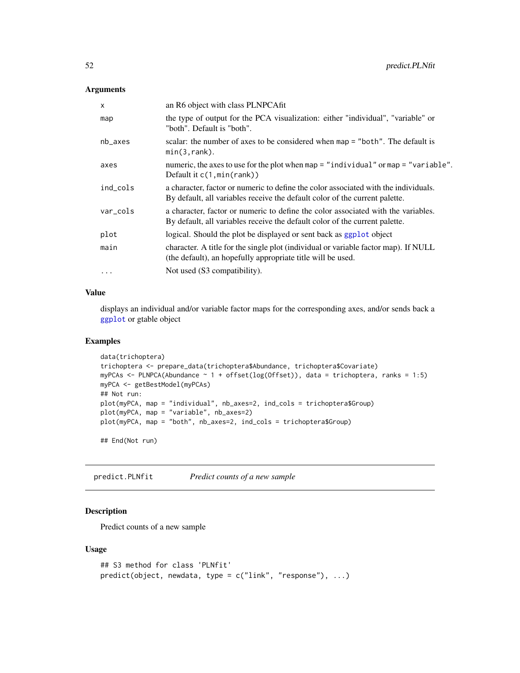### <span id="page-51-0"></span>Arguments

| $\mathsf{x}$ | an R6 object with class PLNPCAfit                                                                                                                                  |
|--------------|--------------------------------------------------------------------------------------------------------------------------------------------------------------------|
| map          | the type of output for the PCA visualization: either "individual", "variable" or<br>"both". Default is "both".                                                     |
| nb_axes      | scalar: the number of axes to be considered when map = "both". The default is<br>min(3, rank).                                                                     |
| axes         | numeric, the axes to use for the plot when map = "individual" or map = "variable".<br>Default it $c(1, min(rank))$                                                 |
| ind_cols     | a character, factor or numeric to define the color associated with the individuals.<br>By default, all variables receive the default color of the current palette. |
| var_cols     | a character, factor or numeric to define the color associated with the variables.<br>By default, all variables receive the default color of the current palette.   |
| plot         | logical. Should the plot be displayed or sent back as ggplot object                                                                                                |
| main         | character. A title for the single plot (individual or variable factor map). If NULL<br>(the default), an hopefully appropriate title will be used.                 |
| $\cdots$     | Not used (S3 compatibility).                                                                                                                                       |

### Value

displays an individual and/or variable factor maps for the corresponding axes, and/or sends back a [ggplot](#page-0-0) or gtable object

### Examples

```
data(trichoptera)
trichoptera <- prepare_data(trichoptera$Abundance, trichoptera$Covariate)
myPCAs <- PLNPCA(Abundance ~ 1 + offset(log(Offset)), data = trichoptera, ranks = 1:5)
myPCA <- getBestModel(myPCAs)
## Not run:
plot(myPCA, map = "individual", nb_axes=2, ind_cols = trichoptera$Group)
plot(myPCA, map = "variable", nb_axes=2)
plot(myPCA, map = "both", nb_axes=2, ind_cols = trichoptera$Group)
## End(Not run)
```
predict.PLNfit *Predict counts of a new sample*

### Description

Predict counts of a new sample

```
## S3 method for class 'PLNfit'
predict(object, newdata, type = c("link", "response"), ...)
```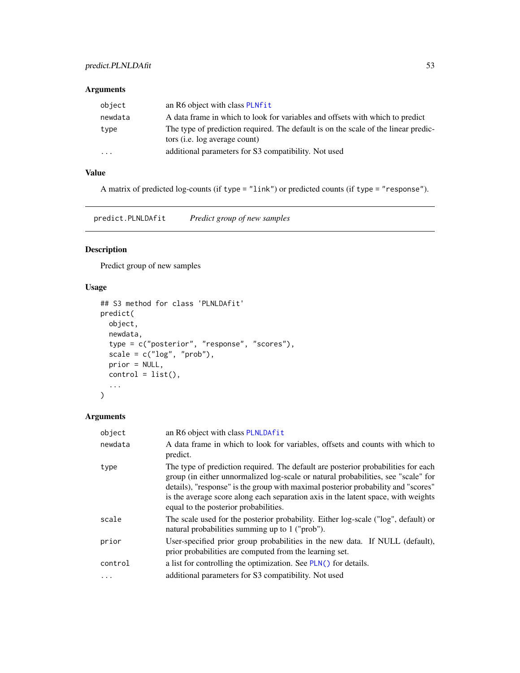### <span id="page-52-0"></span>Arguments

| object                  | an R6 object with class PLNfit                                                                                              |
|-------------------------|-----------------------------------------------------------------------------------------------------------------------------|
| newdata                 | A data frame in which to look for variables and offsets with which to predict                                               |
| type                    | The type of prediction required. The default is on the scale of the linear predic-<br>tors ( <i>i.e.</i> log average count) |
| $\cdot$ $\cdot$ $\cdot$ | additional parameters for S3 compatibility. Not used                                                                        |

### Value

A matrix of predicted log-counts (if type = "link") or predicted counts (if type = "response").

predict.PLNLDAfit *Predict group of new samples*

### Description

Predict group of new samples

### Usage

```
## S3 method for class 'PLNLDAfit'
predict(
 object,
 newdata,
  type = c("posterior", "response", "scores"),
  scale = c("log", "prob"),prior = NULL,
 control = list(),
  ...
)
```
### Arguments

| object  | an R6 object with class PLNLDAfit                                                                                                                                                                                                                                                                                                                                                         |
|---------|-------------------------------------------------------------------------------------------------------------------------------------------------------------------------------------------------------------------------------------------------------------------------------------------------------------------------------------------------------------------------------------------|
| newdata | A data frame in which to look for variables, offsets and counts with which to<br>predict.                                                                                                                                                                                                                                                                                                 |
| type    | The type of prediction required. The default are posterior probabilities for each<br>group (in either unnormalized log-scale or natural probabilities, see "scale" for<br>details), "response" is the group with maximal posterior probability and "scores"<br>is the average score along each separation axis in the latent space, with weights<br>equal to the posterior probabilities. |
| scale   | The scale used for the posterior probability. Either log-scale ("log", default) or<br>natural probabilities summing up to 1 ("prob").                                                                                                                                                                                                                                                     |
| prior   | User-specified prior group probabilities in the new data. If NULL (default),<br>prior probabilities are computed from the learning set.                                                                                                                                                                                                                                                   |
| control | a list for controlling the optimization. See PLN() for details.                                                                                                                                                                                                                                                                                                                           |
| .       | additional parameters for S3 compatibility. Not used                                                                                                                                                                                                                                                                                                                                      |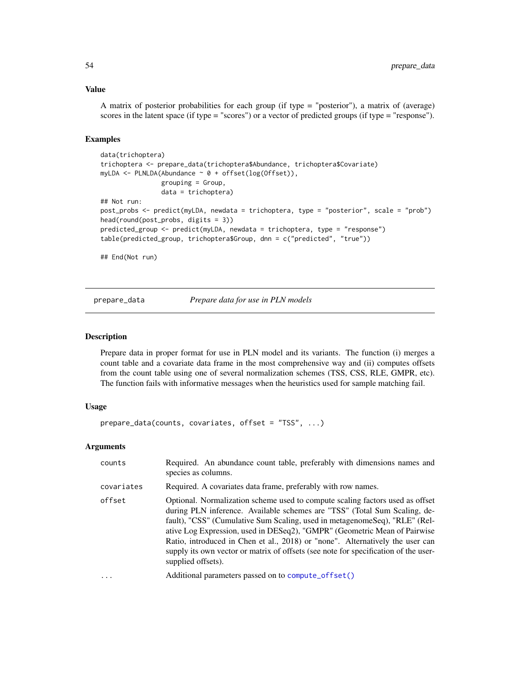### <span id="page-53-0"></span>Value

A matrix of posterior probabilities for each group (if type = "posterior"), a matrix of (average) scores in the latent space (if type = "scores") or a vector of predicted groups (if type = "response").

### Examples

```
data(trichoptera)
trichoptera <- prepare_data(trichoptera$Abundance, trichoptera$Covariate)
myLDA <- PLNLDA(Abundance ~ 0 + offset(log(Offset)),
                grouping = Group,
                data = trichoptera)
## Not run:
post_probs <- predict(myLDA, newdata = trichoptera, type = "posterior", scale = "prob")
head(round(post_probs, digits = 3))
predicted_group <- predict(myLDA, newdata = trichoptera, type = "response")
table(predicted_group, trichoptera$Group, dnn = c("predicted", "true"))
## End(Not run)
```
<span id="page-53-1"></span>

prepare\_data *Prepare data for use in PLN models*

### Description

Prepare data in proper format for use in PLN model and its variants. The function (i) merges a count table and a covariate data frame in the most comprehensive way and (ii) computes offsets from the count table using one of several normalization schemes (TSS, CSS, RLE, GMPR, etc). The function fails with informative messages when the heuristics used for sample matching fail.

### Usage

```
prepare_data(counts, covariates, offset = "TSS", ...)
```
#### Arguments

| counts     | Required. An abundance count table, preferably with dimensions names and<br>species as columns.                                                                                                                                                                                                                                                                                                                                                                                                                      |
|------------|----------------------------------------------------------------------------------------------------------------------------------------------------------------------------------------------------------------------------------------------------------------------------------------------------------------------------------------------------------------------------------------------------------------------------------------------------------------------------------------------------------------------|
| covariates | Required. A covariates data frame, preferably with row names.                                                                                                                                                                                                                                                                                                                                                                                                                                                        |
| offset     | Optional. Normalization scheme used to compute scaling factors used as offset<br>during PLN inference. Available schemes are "TSS" (Total Sum Scaling, de-<br>fault), "CSS" (Cumulative Sum Scaling, used in metagenome Seq), "RLE" (Rel-<br>ative Log Expression, used in DESeq2), "GMPR" (Geometric Mean of Pairwise<br>Ratio, introduced in Chen et al., 2018) or "none". Alternatively the user can<br>supply its own vector or matrix of offsets (see note for specification of the user-<br>supplied offsets). |
| .          | Additional parameters passed on to compute_offset()                                                                                                                                                                                                                                                                                                                                                                                                                                                                  |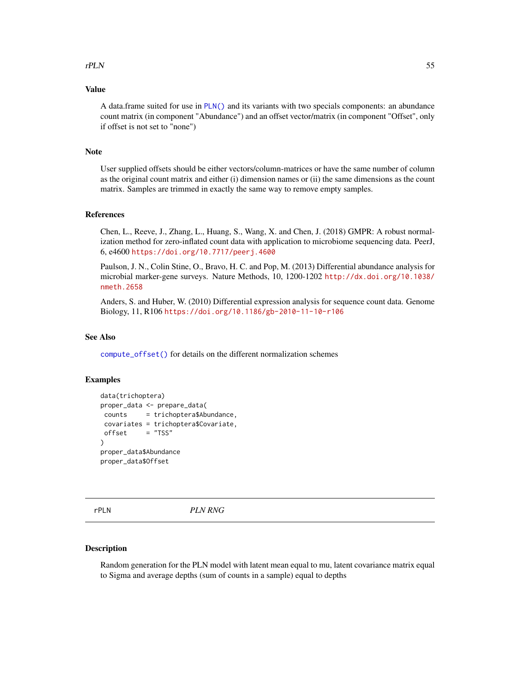#### <span id="page-54-0"></span> $rPLN$  55

### Value

A data.frame suited for use in [PLN\(\)](#page-11-1) and its variants with two specials components: an abundance count matrix (in component "Abundance") and an offset vector/matrix (in component "Offset", only if offset is not set to "none")

#### Note

User supplied offsets should be either vectors/column-matrices or have the same number of column as the original count matrix and either (i) dimension names or (ii) the same dimensions as the count matrix. Samples are trimmed in exactly the same way to remove empty samples.

#### References

Chen, L., Reeve, J., Zhang, L., Huang, S., Wang, X. and Chen, J. (2018) GMPR: A robust normalization method for zero-inflated count data with application to microbiome sequencing data. PeerJ, 6, e4600 <https://doi.org/10.7717/peerj.4600>

Paulson, J. N., Colin Stine, O., Bravo, H. C. and Pop, M. (2013) Differential abundance analysis for microbial marker-gene surveys. Nature Methods, 10, 1200-1202 [http://dx.doi.org/10.1038/](http://dx.doi.org/10.1038/nmeth.2658) [nmeth.2658](http://dx.doi.org/10.1038/nmeth.2658)

Anders, S. and Huber, W. (2010) Differential expression analysis for sequence count data. Genome Biology, 11, R106 <https://doi.org/10.1186/gb-2010-11-10-r106>

#### See Also

[compute\\_offset\(\)](#page-4-1) for details on the different normalization schemes

#### Examples

```
data(trichoptera)
proper_data <- prepare_data(
counts = trichoptera$Abundance,
covariates = trichoptera$Covariate,
offset = "TSS"\lambdaproper_data$Abundance
proper_data$Offset
```
rPLN *PLN RNG*

#### Description

Random generation for the PLN model with latent mean equal to mu, latent covariance matrix equal to Sigma and average depths (sum of counts in a sample) equal to depths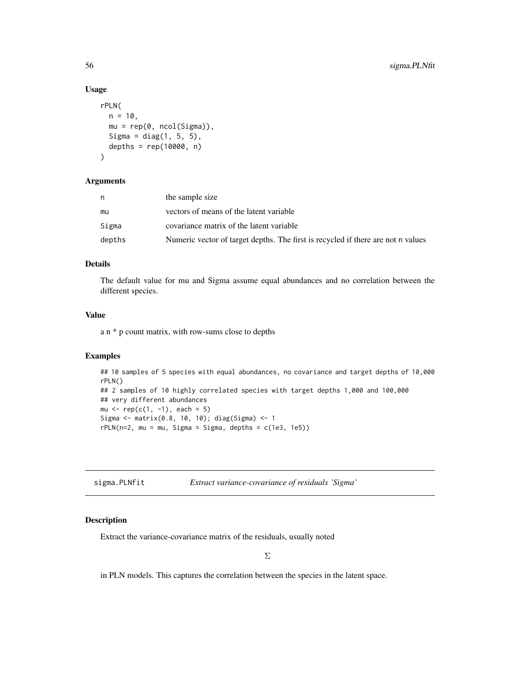### Usage

```
rPLN(
 n = 10,
 mu = rep(0, ncol(Sigma)),
 Sigma = diag(1, 5, 5),
  depths = rep(10000, n)\lambda
```
#### Arguments

| n      | the sample size                                                                  |
|--------|----------------------------------------------------------------------------------|
| mu     | vectors of means of the latent variable                                          |
| Sigma  | covariance matrix of the latent variable                                         |
| depths | Numeric vector of target depths. The first is recycled if there are not n values |

#### Details

The default value for mu and Sigma assume equal abundances and no correlation between the different species.

### Value

a n \* p count matrix, with row-sums close to depths

### Examples

```
## 10 samples of 5 species with equal abundances, no covariance and target depths of 10,000
rPLN()
## 2 samples of 10 highly correlated species with target depths 1,000 and 100,000
## very different abundances
mu <- rep(c(1, -1), each = 5)Sigma <- matrix(0.8, 10, 10); diag(Sigma) <- 1
rPLN(n=2, mu = mu, Sigma = Sigma, depths = c(1e3, 1e5))
```
<span id="page-55-1"></span>

| sigma.PLNfit<br>Extract variance-covariance of residuals 'Sigma' |  |
|------------------------------------------------------------------|--|
|------------------------------------------------------------------|--|

### Description

Extract the variance-covariance matrix of the residuals, usually noted

in PLN models. This captures the correlation between the species in the latent space.

<span id="page-55-0"></span>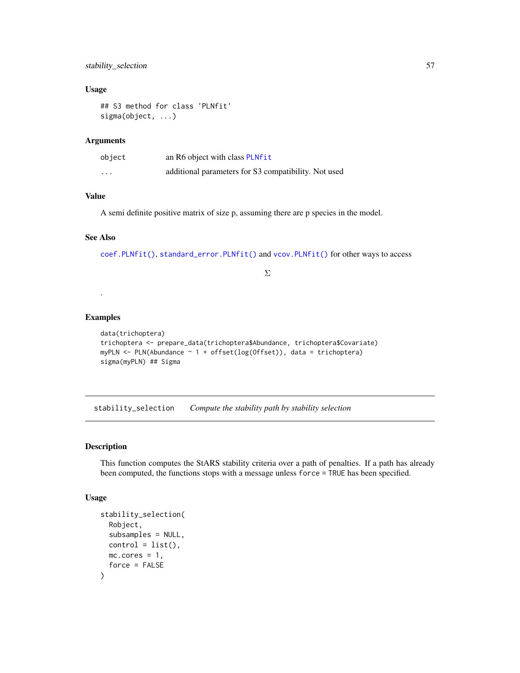### <span id="page-56-0"></span>stability\_selection 57

### Usage

```
## S3 method for class 'PLNfit'
sigma(object, ...)
```
### Arguments

| object   | an R6 object with class PLNfit                       |
|----------|------------------------------------------------------|
| $\cdots$ | additional parameters for S3 compatibility. Not used |

### Value

A semi definite positive matrix of size p, assuming there are p species in the model.

### See Also

[coef.PLNfit\(\)](#page-2-1), [standard\\_error.PLNfit\(\)](#page-57-1) and [vcov.PLNfit\(\)](#page-59-1) for other ways to access

### Σ

#### Examples

.

```
data(trichoptera)
trichoptera <- prepare_data(trichoptera$Abundance, trichoptera$Covariate)
myPLN <- PLN(Abundance \sim 1 + offset(log(Offset)), data = trichoptera)
sigma(myPLN) ## Sigma
```
<span id="page-56-1"></span>stability\_selection *Compute the stability path by stability selection*

#### Description

This function computes the StARS stability criteria over a path of penalties. If a path has already been computed, the functions stops with a message unless force = TRUE has been specified.

```
stability_selection(
 Robject,
  subsamples = NULL,
 control = list(),
 mc.core = 1,
  force = FALSE
)
```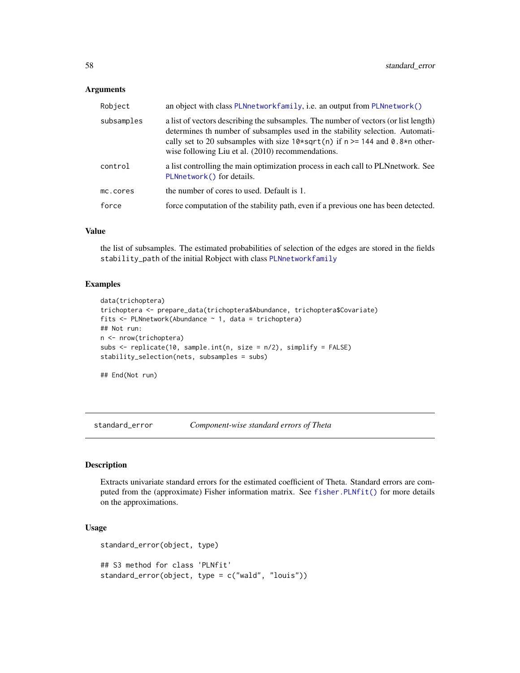#### <span id="page-57-0"></span>**Arguments**

| Robject    | an object with class PLNnetworkfamily, i.e. an output from PLNnetwork()                                                                                                                                                                                                                                        |
|------------|----------------------------------------------------------------------------------------------------------------------------------------------------------------------------------------------------------------------------------------------------------------------------------------------------------------|
| subsamples | a list of vectors describing the subsamples. The number of vectors (or list length)<br>determines th number of subsamples used in the stability selection. Automati-<br>cally set to 20 subsamples with size $10*sqrt(n)$ if $n \ge 144$ and 0.8*n other-<br>wise following Liu et al. (2010) recommendations. |
| control    | a list controlling the main optimization process in each call to PLNnetwork. See<br>PLNnetwork() for details.                                                                                                                                                                                                  |
| mc.cores   | the number of cores to used. Default is 1.                                                                                                                                                                                                                                                                     |
| force      | force computation of the stability path, even if a previous one has been detected.                                                                                                                                                                                                                             |

#### Value

the list of subsamples. The estimated probabilities of selection of the edges are stored in the fields stability\_path of the initial Robject with class [PLNnetworkfamily](#page-30-1)

#### Examples

```
data(trichoptera)
trichoptera <- prepare_data(trichoptera$Abundance, trichoptera$Covariate)
fits <- PLNnetwork(Abundance ~ 1, data = trichoptera)
## Not run:
n <- nrow(trichoptera)
subs \le replicate(10, sample.int(n, size = n/2), simplify = FALSE)
stability_selection(nets, subsamples = subs)
```
## End(Not run)

<span id="page-57-2"></span>standard\_error *Component-wise standard errors of Theta*

#### <span id="page-57-1"></span>Description

Extracts univariate standard errors for the estimated coefficient of Theta. Standard errors are computed from the (approximate) Fisher information matrix. See [fisher.PLNfit\(\)](#page-7-1) for more details on the approximations.

```
standard_error(object, type)
## S3 method for class 'PLNfit'
standard_error(object, type = c("wald", "louis"))
```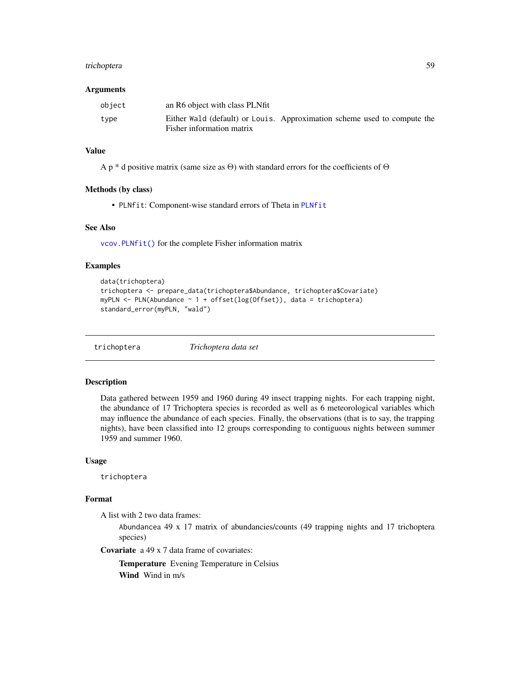#### <span id="page-58-0"></span>trichoptera 59

#### Arguments

| object | an R6 object with class PLNfit                                                                        |  |  |
|--------|-------------------------------------------------------------------------------------------------------|--|--|
| type   | Either Wald (default) or Louis. Approximation scheme used to compute the<br>Fisher information matrix |  |  |

### Value

A p \* d positive matrix (same size as  $\Theta$ ) with standard errors for the coefficients of  $\Theta$ 

#### Methods (by class)

• PLNfit: Component-wise standard errors of Theta in [PLNfit](#page-15-1)

### See Also

[vcov.PLNfit\(\)](#page-59-1) for the complete Fisher information matrix

### Examples

```
data(trichoptera)
trichoptera <- prepare_data(trichoptera$Abundance, trichoptera$Covariate)
myPLN <- PLN(Abundance \sim 1 + \text{offset}(\log(\text{Offset})), data = trichoptera)
standard_error(myPLN, "wald")
```
trichoptera *Trichoptera data set*

#### Description

Data gathered between 1959 and 1960 during 49 insect trapping nights. For each trapping night, the abundance of 17 Trichoptera species is recorded as well as 6 meteorological variables which may influence the abundance of each species. Finally, the observations (that is to say, the trapping nights), have been classified into 12 groups corresponding to contiguous nights between summer 1959 and summer 1960.

### Usage

trichoptera

#### Format

A list with 2 two data frames:

Abundancea 49 x 17 matrix of abundancies/counts (49 trapping nights and 17 trichoptera species)

Covariate a 49 x 7 data frame of covariates:

Temperature Evening Temperature in Celsius Wind Wind in m/s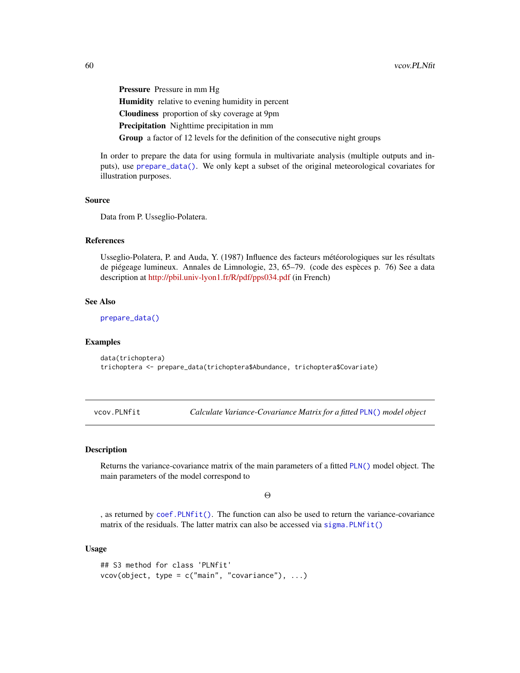<span id="page-59-0"></span>Pressure Pressure in mm Hg Humidity relative to evening humidity in percent Cloudiness proportion of sky coverage at 9pm Precipitation Nighttime precipitation in mm Group a factor of 12 levels for the definition of the consecutive night groups

In order to prepare the data for using formula in multivariate analysis (multiple outputs and inputs), use [prepare\\_data\(\)](#page-53-1). We only kept a subset of the original meteorological covariates for illustration purposes.

### Source

Data from P. Usseglio-Polatera.

#### References

Usseglio-Polatera, P. and Auda, Y. (1987) Influence des facteurs météorologiques sur les résultats de piégeage lumineux. Annales de Limnologie, 23, 65–79. (code des espèces p. 76) See a data description at <http://pbil.univ-lyon1.fr/R/pdf/pps034.pdf> (in French)

#### See Also

[prepare\\_data\(\)](#page-53-1)

#### Examples

data(trichoptera) trichoptera <- prepare\_data(trichoptera\$Abundance, trichoptera\$Covariate)

<span id="page-59-1"></span>vcov.PLNfit *Calculate Variance-Covariance Matrix for a fitted* [PLN\(\)](#page-11-1) *model object*

### Description

Returns the variance-covariance matrix of the main parameters of a fitted [PLN\(\)](#page-11-1) model object. The main parameters of the model correspond to

Θ

, as returned by [coef.PLNfit\(\)](#page-2-1). The function can also be used to return the variance-covariance matrix of the residuals. The latter matrix can also be accessed via  $signa$ . PLNfit()

```
## S3 method for class 'PLNfit'
vcov(object, type = c("main", "covariance"), ...)
```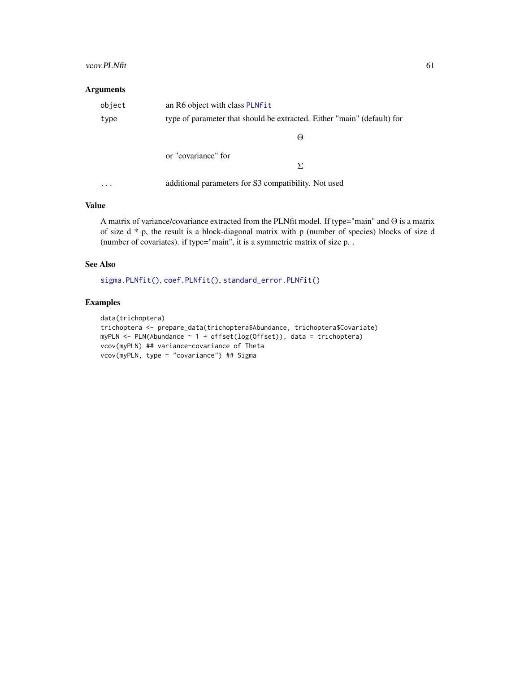#### <span id="page-60-0"></span>vcov.PLNfit 61

### Arguments

| object | an R6 object with class PLNfit |                                                                         |  |  |
|--------|--------------------------------|-------------------------------------------------------------------------|--|--|
| type   |                                | type of parameter that should be extracted. Either "main" (default) for |  |  |
|        |                                | $\Theta$                                                                |  |  |
|        | or "covariance" for            |                                                                         |  |  |
|        |                                | Я                                                                       |  |  |
|        |                                | additional parameters for S3 compatibility. Not used                    |  |  |

### Value

A matrix of variance/covariance extracted from the PLNfit model. If type="main" and  $\Theta$  is a matrix of size d \* p, the result is a block-diagonal matrix with p (number of species) blocks of size d (number of covariates). if type="main", it is a symmetric matrix of size p. .

#### See Also

[sigma.PLNfit\(\)](#page-55-1), [coef.PLNfit\(\)](#page-2-1), [standard\\_error.PLNfit\(\)](#page-57-1)

### Examples

```
data(trichoptera)
trichoptera <- prepare_data(trichoptera$Abundance, trichoptera$Covariate)
myPLN <- PLN(Abundance ~ 1 + offset(log(Offset)), data = trichoptera)
vcov(myPLN) ## variance-covariance of Theta
vcov(myPLN, type = "covariance") ## Sigma
```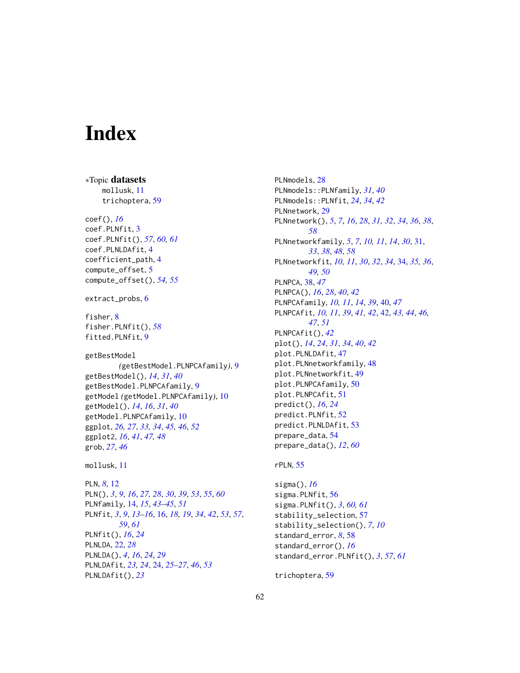# <span id="page-61-0"></span>**Index**

∗Topic datasets mollusk, [11](#page-10-0) trichoptera, [59](#page-58-0) coef(), *[16](#page-15-0)* coef.PLNfit, [3](#page-2-0) coef.PLNfit(), *[57](#page-56-0)*, *[60,](#page-59-0) [61](#page-60-0)* coef.PLNLDAfit, [4](#page-3-0) coefficient\_path, [4](#page-3-0) compute\_offset, [5](#page-4-0) compute\_offset(), *[54,](#page-53-0) [55](#page-54-0)* extract\_probs, [6](#page-5-0) fisher, [8](#page-7-0) fisher.PLNfit(), *[58](#page-57-0)* fitted.PLNfit, [9](#page-8-0) getBestModel *(*getBestModel.PLNPCAfamily*)*, [9](#page-8-0) getBestModel(), *[14](#page-13-0)*, *[31](#page-30-0)*, *[40](#page-39-0)* getBestModel.PLNPCAfamily, [9](#page-8-0) getModel *(*getModel.PLNPCAfamily*)*, [10](#page-9-0) getModel(), *[14](#page-13-0)*, *[16](#page-15-0)*, *[31](#page-30-0)*, *[40](#page-39-0)* getModel.PLNPCAfamily, [10](#page-9-0) ggplot, *[26,](#page-25-3) [27](#page-26-1)*, *[33,](#page-32-2) [34](#page-33-0)*, *[45,](#page-44-1) [46](#page-45-1)*, *[52](#page-51-0)* ggplot2, *[16](#page-15-0)*, *[41](#page-40-0)*, *[47,](#page-46-0) [48](#page-47-0)* grob, *[27](#page-26-1)*, *[46](#page-45-1)* mollusk, [11](#page-10-0) PLN, *[8](#page-7-0)*, [12](#page-11-0) PLN(), *[3](#page-2-0)*, *[9](#page-8-0)*, *[16](#page-15-0)*, *[27,](#page-26-1) [28](#page-27-0)*, *[30](#page-29-0)*, *[39](#page-38-0)*, *[53](#page-52-0)*, *[55](#page-54-0)*, *[60](#page-59-0)* PLNfamily, [14,](#page-13-0) *[15](#page-14-4)*, *[43](#page-42-0)[–45](#page-44-1)*, *[51](#page-50-0)* PLNfit, *[3](#page-2-0)*, *[9](#page-8-0)*, *[13](#page-12-0)[–16](#page-15-0)*, [16,](#page-15-0) *[18,](#page-17-1) [19](#page-18-2)*, *[34](#page-33-0)*, *[42](#page-41-0)*, *[53](#page-52-0)*, *[57](#page-56-0)*, *[59](#page-58-0)*, *[61](#page-60-0)* PLNfit(), *[16](#page-15-0)*, *[24](#page-23-0)* PLNLDA, [22,](#page-21-0) *[28](#page-27-0)* PLNLDA(), *[4](#page-3-0)*, *[16](#page-15-0)*, *[24](#page-23-0)*, *[29](#page-28-0)* PLNLDAfit, *[23,](#page-22-0) [24](#page-23-0)*, [24,](#page-23-0) *[25–](#page-24-0)[27](#page-26-1)*, *[46](#page-45-1)*, *[53](#page-52-0)* PLNLDAfit(), *[23](#page-22-0)*

PLNmodels, [28](#page-27-0) PLNmodels::PLNfamily, *[31](#page-30-0)*, *[40](#page-39-0)* PLNmodels::PLNfit, *[24](#page-23-0)*, *[34](#page-33-0)*, *[42](#page-41-0)* PLNnetwork, [29](#page-28-0) PLNnetwork(), *[5](#page-4-0)*, *[7](#page-6-0)*, *[16](#page-15-0)*, *[28](#page-27-0)*, *[31,](#page-30-0) [32](#page-31-2)*, *[34](#page-33-0)*, *[36](#page-35-0)*, *[38](#page-37-0)*, *[58](#page-57-0)* PLNnetworkfamily, *[5](#page-4-0)*, *[7](#page-6-0)*, *[10,](#page-9-0) [11](#page-10-0)*, *[14](#page-13-0)*, *[30](#page-29-0)*, [31,](#page-30-0) *[33](#page-32-2)*, *[38](#page-37-0)*, *[48](#page-47-0)*, *[58](#page-57-0)* PLNnetworkfit, *[10,](#page-9-0) [11](#page-10-0)*, *[30](#page-29-0)*, *[32](#page-31-2)*, *[34](#page-33-0)*, [34,](#page-33-0) *[35,](#page-34-0) [36](#page-35-0)*, *[49,](#page-48-0) [50](#page-49-0)* PLNPCA, [38,](#page-37-0) *[47](#page-46-0)* PLNPCA(), *[16](#page-15-0)*, *[28](#page-27-0)*, *[40](#page-39-0)*, *[42](#page-41-0)* PLNPCAfamily, *[10,](#page-9-0) [11](#page-10-0)*, *[14](#page-13-0)*, *[39](#page-38-0)*, [40,](#page-39-0) *[47](#page-46-0)* PLNPCAfit, *[10,](#page-9-0) [11](#page-10-0)*, *[39](#page-38-0)*, *[41,](#page-40-0) [42](#page-41-0)*, [42,](#page-41-0) *[43,](#page-42-0) [44](#page-43-0)*, *[46,](#page-45-1) [47](#page-46-0)*, *[51](#page-50-0)* PLNPCAfit(), *[42](#page-41-0)* plot(), *[14](#page-13-0)*, *[24](#page-23-0)*, *[31](#page-30-0)*, *[34](#page-33-0)*, *[40](#page-39-0)*, *[42](#page-41-0)* plot.PLNLDAfit, [47](#page-46-0) plot.PLNnetworkfamily, [48](#page-47-0) plot.PLNnetworkfit, [49](#page-48-0) plot.PLNPCAfamily, [50](#page-49-0) plot.PLNPCAfit, [51](#page-50-0) predict(), *[16](#page-15-0)*, *[24](#page-23-0)* predict.PLNfit, [52](#page-51-0) predict.PLNLDAfit, [53](#page-52-0) prepare\_data, [54](#page-53-0) prepare\_data(), *[12](#page-11-0)*, *[60](#page-59-0)*

#### rPLN, [55](#page-54-0)

sigma(), *[16](#page-15-0)* sigma.PLNfit, [56](#page-55-0) sigma.PLNfit(), *[3](#page-2-0)*, *[60,](#page-59-0) [61](#page-60-0)* stability\_selection, [57](#page-56-0) stability\_selection(), *[7](#page-6-0)*, *[10](#page-9-0)* standard\_error, *[8](#page-7-0)*, [58](#page-57-0) standard\_error(), *[16](#page-15-0)* standard\_error.PLNfit(), *[3](#page-2-0)*, *[57](#page-56-0)*, *[61](#page-60-0)*

trichoptera, [59](#page-58-0)